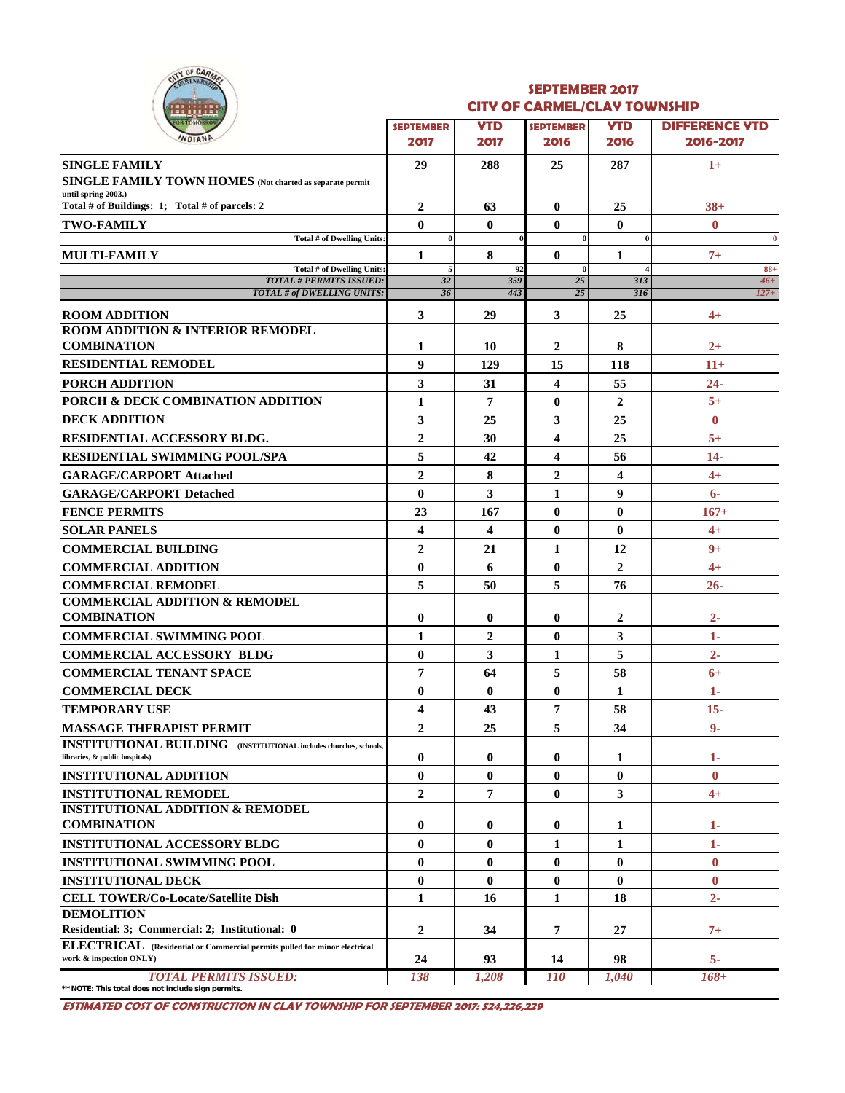

#### **SEPTEMBER 2017 CITY OF CARMEL/CLAY TOWNSHIP**

| <b>YTD</b><br><b>DIFFERENCE YTD</b><br><b>YTD</b><br><b>SEPTEMBER</b><br><b>SEPTEMBER</b><br>WDIANP<br>2017<br>2016-2017<br>2017<br>2016<br>2016<br><b>SINGLE FAMILY</b><br>29<br>288<br>25<br>287<br>$1+$<br><b>SINGLE FAMILY TOWN HOMES</b> (Not charted as separate permit<br>until spring 2003.)<br>Total # of Buildings: 1; Total # of parcels: 2<br>$\boldsymbol{2}$<br>$38+$<br>63<br>$\bf{0}$<br>25<br>$\mathbf{0}$<br>$\mathbf{0}$<br>$\mathbf{0}$<br>$\bf{0}$<br><b>TWO-FAMILY</b><br>$\bf{0}$<br>Total # of Dwelling Units:<br>$\bf{0}$<br>$\bf{0}$<br>$\bf{0}$<br>8<br>$\mathbf{0}$<br><b>MULTI-FAMILY</b><br>1<br>1<br>$7+$<br><b>Total # of Dwelling Units:</b><br>$88 +$<br>92<br>$\bf{0}$<br>5<br><b>TOTAL # PERMITS ISSUED:</b><br>32<br>359<br>25<br>$46+$<br>313<br><b>TOTAL # of DWELLING UNITS:</b><br>36<br>443<br>25<br>$127+$<br>316<br>3<br>29<br>3<br>25<br>$4+$<br><b>ROOM ADDITION</b><br>ROOM ADDITION & INTERIOR REMODEL<br><b>COMBINATION</b><br>2<br>8<br>1<br>10<br>$2+$<br><b>RESIDENTIAL REMODEL</b><br>$\boldsymbol{9}$<br>129<br>15<br>118<br>$11+$<br>3<br>31<br>4<br>55<br>$24 -$<br><b>PORCH ADDITION</b><br>$5+$<br>PORCH & DECK COMBINATION ADDITION<br>$\bf{0}$<br>1<br>7<br>$\overline{2}$<br><b>DECK ADDITION</b><br>3<br>3<br>25<br>25<br>$\bf{0}$<br>$\overline{2}$<br>RESIDENTIAL ACCESSORY BLDG.<br>30<br>4<br>25<br>$5+$<br>5<br>42<br>4<br><b>RESIDENTIAL SWIMMING POOL/SPA</b><br>56<br>$14-$<br>$\overline{2}$<br>$\overline{2}$<br>8<br>4<br>$4+$<br><b>GARAGE/CARPORT Attached</b><br>9<br>$\bf{0}$<br>3<br><b>GARAGE/CARPORT Detached</b><br>1<br>$6-$<br>23<br>$\bf{0}$<br>$\bf{0}$<br><b>FENCE PERMITS</b><br>167<br>$167+$<br>4<br>4<br>$\bf{0}$<br>$\bf{0}$<br><b>SOLAR PANELS</b><br>$4+$<br>$\overline{2}$<br>21<br>1<br>12<br>$9+$<br><b>COMMERCIAL BUILDING</b><br>$\bf{0}$<br>$\mathbf{0}$<br>$\overline{2}$<br><b>COMMERCIAL ADDITION</b><br>6<br>$4+$<br>5<br>5<br><b>COMMERCIAL REMODEL</b><br>50<br>76<br>$26 -$<br><b>COMMERCIAL ADDITION &amp; REMODEL</b><br><b>COMBINATION</b><br>$2 -$<br>$\boldsymbol{0}$<br>0<br>2<br>$\bf{0}$<br>$\overline{2}$<br>$\bf{0}$<br>3<br><b>COMMERCIAL SWIMMING POOL</b><br>1<br>1-<br>3<br>5<br><b>COMMERCIAL ACCESSORY BLDG</b><br>$\bf{0}$<br>1<br>$2 -$<br>7<br>5<br>64<br>58<br><b>COMMERCIAL TENANT SPACE</b><br>$6+$<br>$\bf{0}$<br>$\bf{0}$<br>$\bf{0}$<br><b>COMMERCIAL DECK</b><br>$1-$<br>1<br><b>TEMPORARY USE</b><br>7<br>4<br>43<br>58<br>$15 -$<br>5<br>$\boldsymbol{2}$<br>25<br>34<br>$9-$<br><b>MASSAGE THERAPIST PERMIT</b><br><b>INSTITUTIONAL BUILDING</b> (INSTITUTIONAL includes churches, schools,<br>$\bf{0}$<br>$\bf{0}$<br>0<br>$1-$<br>libraries, & public hospitals)<br>1<br>$\bf{0}$<br>$\bf{0}$<br>$\bf{0}$<br>$\bf{0}$<br>$\bf{0}$<br><b>INSTITUTIONAL ADDITION</b><br>$\overline{2}$<br>7<br>$\bf{0}$<br>3<br><b>INSTITUTIONAL REMODEL</b><br>$4+$<br><b>INSTITUTIONAL ADDITION &amp; REMODEL</b><br><b>COMBINATION</b><br>$\boldsymbol{0}$<br>$\bf{0}$<br>0<br>1<br>$1-$<br>$\bf{0}$<br>$\bf{0}$<br>1<br>1<br>$1-$<br>$\bf{0}$<br>$\mathbf{0}$<br>0<br>$\bf{0}$<br>$\bf{0}$<br><b>INSTITUTIONAL SWIMMING POOL</b><br>$\bf{0}$<br>$\bf{0}$<br>$\bf{0}$<br>$\bf{0}$<br>$\bf{0}$<br><b>INSTITUTIONAL DECK</b><br>1<br>$2 -$<br><b>CELL TOWER/Co-Locate/Satellite Dish</b><br>16<br>1<br>18<br>$\overline{2}$<br>Residential: 3; Commercial: 2; Institutional: 0<br>7<br>27<br>$7+$<br>34<br><b>ELECTRICAL</b> (Residential or Commercial permits pulled for minor electrical<br>work & inspection ONLY)<br>98<br>5-<br>24<br>93<br>14<br>$168+$<br><b>TOTAL PERMITS ISSUED:</b><br>138<br><i>110</i><br>1,040<br>1,208<br>**NOTE: This total does not include sign permits. | .<br><b>OR TOMORROW</b>             |  |  |  |
|--------------------------------------------------------------------------------------------------------------------------------------------------------------------------------------------------------------------------------------------------------------------------------------------------------------------------------------------------------------------------------------------------------------------------------------------------------------------------------------------------------------------------------------------------------------------------------------------------------------------------------------------------------------------------------------------------------------------------------------------------------------------------------------------------------------------------------------------------------------------------------------------------------------------------------------------------------------------------------------------------------------------------------------------------------------------------------------------------------------------------------------------------------------------------------------------------------------------------------------------------------------------------------------------------------------------------------------------------------------------------------------------------------------------------------------------------------------------------------------------------------------------------------------------------------------------------------------------------------------------------------------------------------------------------------------------------------------------------------------------------------------------------------------------------------------------------------------------------------------------------------------------------------------------------------------------------------------------------------------------------------------------------------------------------------------------------------------------------------------------------------------------------------------------------------------------------------------------------------------------------------------------------------------------------------------------------------------------------------------------------------------------------------------------------------------------------------------------------------------------------------------------------------------------------------------------------------------------------------------------------------------------------------------------------------------------------------------------------------------------------------------------------------------------------------------------------------------------------------------------------------------------------------------------------------------------------------------------------------------------------------------------------------------------------------------------------------------------------------------------------------------------------------------------------------------------------------------------------------------------------------------------------------------------------------------------------------------------------------------------------------------------------------------------------------------------------------------------------------------------------------------------------------------------------------------------------------------------------------------------------------------------------------------------------------------------------------------------|-------------------------------------|--|--|--|
|                                                                                                                                                                                                                                                                                                                                                                                                                                                                                                                                                                                                                                                                                                                                                                                                                                                                                                                                                                                                                                                                                                                                                                                                                                                                                                                                                                                                                                                                                                                                                                                                                                                                                                                                                                                                                                                                                                                                                                                                                                                                                                                                                                                                                                                                                                                                                                                                                                                                                                                                                                                                                                                                                                                                                                                                                                                                                                                                                                                                                                                                                                                                                                                                                                                                                                                                                                                                                                                                                                                                                                                                                                                                                                                    |                                     |  |  |  |
|                                                                                                                                                                                                                                                                                                                                                                                                                                                                                                                                                                                                                                                                                                                                                                                                                                                                                                                                                                                                                                                                                                                                                                                                                                                                                                                                                                                                                                                                                                                                                                                                                                                                                                                                                                                                                                                                                                                                                                                                                                                                                                                                                                                                                                                                                                                                                                                                                                                                                                                                                                                                                                                                                                                                                                                                                                                                                                                                                                                                                                                                                                                                                                                                                                                                                                                                                                                                                                                                                                                                                                                                                                                                                                                    |                                     |  |  |  |
|                                                                                                                                                                                                                                                                                                                                                                                                                                                                                                                                                                                                                                                                                                                                                                                                                                                                                                                                                                                                                                                                                                                                                                                                                                                                                                                                                                                                                                                                                                                                                                                                                                                                                                                                                                                                                                                                                                                                                                                                                                                                                                                                                                                                                                                                                                                                                                                                                                                                                                                                                                                                                                                                                                                                                                                                                                                                                                                                                                                                                                                                                                                                                                                                                                                                                                                                                                                                                                                                                                                                                                                                                                                                                                                    |                                     |  |  |  |
|                                                                                                                                                                                                                                                                                                                                                                                                                                                                                                                                                                                                                                                                                                                                                                                                                                                                                                                                                                                                                                                                                                                                                                                                                                                                                                                                                                                                                                                                                                                                                                                                                                                                                                                                                                                                                                                                                                                                                                                                                                                                                                                                                                                                                                                                                                                                                                                                                                                                                                                                                                                                                                                                                                                                                                                                                                                                                                                                                                                                                                                                                                                                                                                                                                                                                                                                                                                                                                                                                                                                                                                                                                                                                                                    |                                     |  |  |  |
|                                                                                                                                                                                                                                                                                                                                                                                                                                                                                                                                                                                                                                                                                                                                                                                                                                                                                                                                                                                                                                                                                                                                                                                                                                                                                                                                                                                                                                                                                                                                                                                                                                                                                                                                                                                                                                                                                                                                                                                                                                                                                                                                                                                                                                                                                                                                                                                                                                                                                                                                                                                                                                                                                                                                                                                                                                                                                                                                                                                                                                                                                                                                                                                                                                                                                                                                                                                                                                                                                                                                                                                                                                                                                                                    |                                     |  |  |  |
|                                                                                                                                                                                                                                                                                                                                                                                                                                                                                                                                                                                                                                                                                                                                                                                                                                                                                                                                                                                                                                                                                                                                                                                                                                                                                                                                                                                                                                                                                                                                                                                                                                                                                                                                                                                                                                                                                                                                                                                                                                                                                                                                                                                                                                                                                                                                                                                                                                                                                                                                                                                                                                                                                                                                                                                                                                                                                                                                                                                                                                                                                                                                                                                                                                                                                                                                                                                                                                                                                                                                                                                                                                                                                                                    |                                     |  |  |  |
|                                                                                                                                                                                                                                                                                                                                                                                                                                                                                                                                                                                                                                                                                                                                                                                                                                                                                                                                                                                                                                                                                                                                                                                                                                                                                                                                                                                                                                                                                                                                                                                                                                                                                                                                                                                                                                                                                                                                                                                                                                                                                                                                                                                                                                                                                                                                                                                                                                                                                                                                                                                                                                                                                                                                                                                                                                                                                                                                                                                                                                                                                                                                                                                                                                                                                                                                                                                                                                                                                                                                                                                                                                                                                                                    |                                     |  |  |  |
|                                                                                                                                                                                                                                                                                                                                                                                                                                                                                                                                                                                                                                                                                                                                                                                                                                                                                                                                                                                                                                                                                                                                                                                                                                                                                                                                                                                                                                                                                                                                                                                                                                                                                                                                                                                                                                                                                                                                                                                                                                                                                                                                                                                                                                                                                                                                                                                                                                                                                                                                                                                                                                                                                                                                                                                                                                                                                                                                                                                                                                                                                                                                                                                                                                                                                                                                                                                                                                                                                                                                                                                                                                                                                                                    |                                     |  |  |  |
|                                                                                                                                                                                                                                                                                                                                                                                                                                                                                                                                                                                                                                                                                                                                                                                                                                                                                                                                                                                                                                                                                                                                                                                                                                                                                                                                                                                                                                                                                                                                                                                                                                                                                                                                                                                                                                                                                                                                                                                                                                                                                                                                                                                                                                                                                                                                                                                                                                                                                                                                                                                                                                                                                                                                                                                                                                                                                                                                                                                                                                                                                                                                                                                                                                                                                                                                                                                                                                                                                                                                                                                                                                                                                                                    |                                     |  |  |  |
|                                                                                                                                                                                                                                                                                                                                                                                                                                                                                                                                                                                                                                                                                                                                                                                                                                                                                                                                                                                                                                                                                                                                                                                                                                                                                                                                                                                                                                                                                                                                                                                                                                                                                                                                                                                                                                                                                                                                                                                                                                                                                                                                                                                                                                                                                                                                                                                                                                                                                                                                                                                                                                                                                                                                                                                                                                                                                                                                                                                                                                                                                                                                                                                                                                                                                                                                                                                                                                                                                                                                                                                                                                                                                                                    |                                     |  |  |  |
|                                                                                                                                                                                                                                                                                                                                                                                                                                                                                                                                                                                                                                                                                                                                                                                                                                                                                                                                                                                                                                                                                                                                                                                                                                                                                                                                                                                                                                                                                                                                                                                                                                                                                                                                                                                                                                                                                                                                                                                                                                                                                                                                                                                                                                                                                                                                                                                                                                                                                                                                                                                                                                                                                                                                                                                                                                                                                                                                                                                                                                                                                                                                                                                                                                                                                                                                                                                                                                                                                                                                                                                                                                                                                                                    |                                     |  |  |  |
|                                                                                                                                                                                                                                                                                                                                                                                                                                                                                                                                                                                                                                                                                                                                                                                                                                                                                                                                                                                                                                                                                                                                                                                                                                                                                                                                                                                                                                                                                                                                                                                                                                                                                                                                                                                                                                                                                                                                                                                                                                                                                                                                                                                                                                                                                                                                                                                                                                                                                                                                                                                                                                                                                                                                                                                                                                                                                                                                                                                                                                                                                                                                                                                                                                                                                                                                                                                                                                                                                                                                                                                                                                                                                                                    |                                     |  |  |  |
|                                                                                                                                                                                                                                                                                                                                                                                                                                                                                                                                                                                                                                                                                                                                                                                                                                                                                                                                                                                                                                                                                                                                                                                                                                                                                                                                                                                                                                                                                                                                                                                                                                                                                                                                                                                                                                                                                                                                                                                                                                                                                                                                                                                                                                                                                                                                                                                                                                                                                                                                                                                                                                                                                                                                                                                                                                                                                                                                                                                                                                                                                                                                                                                                                                                                                                                                                                                                                                                                                                                                                                                                                                                                                                                    |                                     |  |  |  |
|                                                                                                                                                                                                                                                                                                                                                                                                                                                                                                                                                                                                                                                                                                                                                                                                                                                                                                                                                                                                                                                                                                                                                                                                                                                                                                                                                                                                                                                                                                                                                                                                                                                                                                                                                                                                                                                                                                                                                                                                                                                                                                                                                                                                                                                                                                                                                                                                                                                                                                                                                                                                                                                                                                                                                                                                                                                                                                                                                                                                                                                                                                                                                                                                                                                                                                                                                                                                                                                                                                                                                                                                                                                                                                                    |                                     |  |  |  |
|                                                                                                                                                                                                                                                                                                                                                                                                                                                                                                                                                                                                                                                                                                                                                                                                                                                                                                                                                                                                                                                                                                                                                                                                                                                                                                                                                                                                                                                                                                                                                                                                                                                                                                                                                                                                                                                                                                                                                                                                                                                                                                                                                                                                                                                                                                                                                                                                                                                                                                                                                                                                                                                                                                                                                                                                                                                                                                                                                                                                                                                                                                                                                                                                                                                                                                                                                                                                                                                                                                                                                                                                                                                                                                                    |                                     |  |  |  |
|                                                                                                                                                                                                                                                                                                                                                                                                                                                                                                                                                                                                                                                                                                                                                                                                                                                                                                                                                                                                                                                                                                                                                                                                                                                                                                                                                                                                                                                                                                                                                                                                                                                                                                                                                                                                                                                                                                                                                                                                                                                                                                                                                                                                                                                                                                                                                                                                                                                                                                                                                                                                                                                                                                                                                                                                                                                                                                                                                                                                                                                                                                                                                                                                                                                                                                                                                                                                                                                                                                                                                                                                                                                                                                                    |                                     |  |  |  |
|                                                                                                                                                                                                                                                                                                                                                                                                                                                                                                                                                                                                                                                                                                                                                                                                                                                                                                                                                                                                                                                                                                                                                                                                                                                                                                                                                                                                                                                                                                                                                                                                                                                                                                                                                                                                                                                                                                                                                                                                                                                                                                                                                                                                                                                                                                                                                                                                                                                                                                                                                                                                                                                                                                                                                                                                                                                                                                                                                                                                                                                                                                                                                                                                                                                                                                                                                                                                                                                                                                                                                                                                                                                                                                                    |                                     |  |  |  |
|                                                                                                                                                                                                                                                                                                                                                                                                                                                                                                                                                                                                                                                                                                                                                                                                                                                                                                                                                                                                                                                                                                                                                                                                                                                                                                                                                                                                                                                                                                                                                                                                                                                                                                                                                                                                                                                                                                                                                                                                                                                                                                                                                                                                                                                                                                                                                                                                                                                                                                                                                                                                                                                                                                                                                                                                                                                                                                                                                                                                                                                                                                                                                                                                                                                                                                                                                                                                                                                                                                                                                                                                                                                                                                                    |                                     |  |  |  |
|                                                                                                                                                                                                                                                                                                                                                                                                                                                                                                                                                                                                                                                                                                                                                                                                                                                                                                                                                                                                                                                                                                                                                                                                                                                                                                                                                                                                                                                                                                                                                                                                                                                                                                                                                                                                                                                                                                                                                                                                                                                                                                                                                                                                                                                                                                                                                                                                                                                                                                                                                                                                                                                                                                                                                                                                                                                                                                                                                                                                                                                                                                                                                                                                                                                                                                                                                                                                                                                                                                                                                                                                                                                                                                                    |                                     |  |  |  |
|                                                                                                                                                                                                                                                                                                                                                                                                                                                                                                                                                                                                                                                                                                                                                                                                                                                                                                                                                                                                                                                                                                                                                                                                                                                                                                                                                                                                                                                                                                                                                                                                                                                                                                                                                                                                                                                                                                                                                                                                                                                                                                                                                                                                                                                                                                                                                                                                                                                                                                                                                                                                                                                                                                                                                                                                                                                                                                                                                                                                                                                                                                                                                                                                                                                                                                                                                                                                                                                                                                                                                                                                                                                                                                                    |                                     |  |  |  |
|                                                                                                                                                                                                                                                                                                                                                                                                                                                                                                                                                                                                                                                                                                                                                                                                                                                                                                                                                                                                                                                                                                                                                                                                                                                                                                                                                                                                                                                                                                                                                                                                                                                                                                                                                                                                                                                                                                                                                                                                                                                                                                                                                                                                                                                                                                                                                                                                                                                                                                                                                                                                                                                                                                                                                                                                                                                                                                                                                                                                                                                                                                                                                                                                                                                                                                                                                                                                                                                                                                                                                                                                                                                                                                                    |                                     |  |  |  |
|                                                                                                                                                                                                                                                                                                                                                                                                                                                                                                                                                                                                                                                                                                                                                                                                                                                                                                                                                                                                                                                                                                                                                                                                                                                                                                                                                                                                                                                                                                                                                                                                                                                                                                                                                                                                                                                                                                                                                                                                                                                                                                                                                                                                                                                                                                                                                                                                                                                                                                                                                                                                                                                                                                                                                                                                                                                                                                                                                                                                                                                                                                                                                                                                                                                                                                                                                                                                                                                                                                                                                                                                                                                                                                                    |                                     |  |  |  |
|                                                                                                                                                                                                                                                                                                                                                                                                                                                                                                                                                                                                                                                                                                                                                                                                                                                                                                                                                                                                                                                                                                                                                                                                                                                                                                                                                                                                                                                                                                                                                                                                                                                                                                                                                                                                                                                                                                                                                                                                                                                                                                                                                                                                                                                                                                                                                                                                                                                                                                                                                                                                                                                                                                                                                                                                                                                                                                                                                                                                                                                                                                                                                                                                                                                                                                                                                                                                                                                                                                                                                                                                                                                                                                                    |                                     |  |  |  |
|                                                                                                                                                                                                                                                                                                                                                                                                                                                                                                                                                                                                                                                                                                                                                                                                                                                                                                                                                                                                                                                                                                                                                                                                                                                                                                                                                                                                                                                                                                                                                                                                                                                                                                                                                                                                                                                                                                                                                                                                                                                                                                                                                                                                                                                                                                                                                                                                                                                                                                                                                                                                                                                                                                                                                                                                                                                                                                                                                                                                                                                                                                                                                                                                                                                                                                                                                                                                                                                                                                                                                                                                                                                                                                                    |                                     |  |  |  |
|                                                                                                                                                                                                                                                                                                                                                                                                                                                                                                                                                                                                                                                                                                                                                                                                                                                                                                                                                                                                                                                                                                                                                                                                                                                                                                                                                                                                                                                                                                                                                                                                                                                                                                                                                                                                                                                                                                                                                                                                                                                                                                                                                                                                                                                                                                                                                                                                                                                                                                                                                                                                                                                                                                                                                                                                                                                                                                                                                                                                                                                                                                                                                                                                                                                                                                                                                                                                                                                                                                                                                                                                                                                                                                                    |                                     |  |  |  |
|                                                                                                                                                                                                                                                                                                                                                                                                                                                                                                                                                                                                                                                                                                                                                                                                                                                                                                                                                                                                                                                                                                                                                                                                                                                                                                                                                                                                                                                                                                                                                                                                                                                                                                                                                                                                                                                                                                                                                                                                                                                                                                                                                                                                                                                                                                                                                                                                                                                                                                                                                                                                                                                                                                                                                                                                                                                                                                                                                                                                                                                                                                                                                                                                                                                                                                                                                                                                                                                                                                                                                                                                                                                                                                                    |                                     |  |  |  |
|                                                                                                                                                                                                                                                                                                                                                                                                                                                                                                                                                                                                                                                                                                                                                                                                                                                                                                                                                                                                                                                                                                                                                                                                                                                                                                                                                                                                                                                                                                                                                                                                                                                                                                                                                                                                                                                                                                                                                                                                                                                                                                                                                                                                                                                                                                                                                                                                                                                                                                                                                                                                                                                                                                                                                                                                                                                                                                                                                                                                                                                                                                                                                                                                                                                                                                                                                                                                                                                                                                                                                                                                                                                                                                                    |                                     |  |  |  |
|                                                                                                                                                                                                                                                                                                                                                                                                                                                                                                                                                                                                                                                                                                                                                                                                                                                                                                                                                                                                                                                                                                                                                                                                                                                                                                                                                                                                                                                                                                                                                                                                                                                                                                                                                                                                                                                                                                                                                                                                                                                                                                                                                                                                                                                                                                                                                                                                                                                                                                                                                                                                                                                                                                                                                                                                                                                                                                                                                                                                                                                                                                                                                                                                                                                                                                                                                                                                                                                                                                                                                                                                                                                                                                                    |                                     |  |  |  |
|                                                                                                                                                                                                                                                                                                                                                                                                                                                                                                                                                                                                                                                                                                                                                                                                                                                                                                                                                                                                                                                                                                                                                                                                                                                                                                                                                                                                                                                                                                                                                                                                                                                                                                                                                                                                                                                                                                                                                                                                                                                                                                                                                                                                                                                                                                                                                                                                                                                                                                                                                                                                                                                                                                                                                                                                                                                                                                                                                                                                                                                                                                                                                                                                                                                                                                                                                                                                                                                                                                                                                                                                                                                                                                                    |                                     |  |  |  |
|                                                                                                                                                                                                                                                                                                                                                                                                                                                                                                                                                                                                                                                                                                                                                                                                                                                                                                                                                                                                                                                                                                                                                                                                                                                                                                                                                                                                                                                                                                                                                                                                                                                                                                                                                                                                                                                                                                                                                                                                                                                                                                                                                                                                                                                                                                                                                                                                                                                                                                                                                                                                                                                                                                                                                                                                                                                                                                                                                                                                                                                                                                                                                                                                                                                                                                                                                                                                                                                                                                                                                                                                                                                                                                                    |                                     |  |  |  |
|                                                                                                                                                                                                                                                                                                                                                                                                                                                                                                                                                                                                                                                                                                                                                                                                                                                                                                                                                                                                                                                                                                                                                                                                                                                                                                                                                                                                                                                                                                                                                                                                                                                                                                                                                                                                                                                                                                                                                                                                                                                                                                                                                                                                                                                                                                                                                                                                                                                                                                                                                                                                                                                                                                                                                                                                                                                                                                                                                                                                                                                                                                                                                                                                                                                                                                                                                                                                                                                                                                                                                                                                                                                                                                                    |                                     |  |  |  |
|                                                                                                                                                                                                                                                                                                                                                                                                                                                                                                                                                                                                                                                                                                                                                                                                                                                                                                                                                                                                                                                                                                                                                                                                                                                                                                                                                                                                                                                                                                                                                                                                                                                                                                                                                                                                                                                                                                                                                                                                                                                                                                                                                                                                                                                                                                                                                                                                                                                                                                                                                                                                                                                                                                                                                                                                                                                                                                                                                                                                                                                                                                                                                                                                                                                                                                                                                                                                                                                                                                                                                                                                                                                                                                                    |                                     |  |  |  |
|                                                                                                                                                                                                                                                                                                                                                                                                                                                                                                                                                                                                                                                                                                                                                                                                                                                                                                                                                                                                                                                                                                                                                                                                                                                                                                                                                                                                                                                                                                                                                                                                                                                                                                                                                                                                                                                                                                                                                                                                                                                                                                                                                                                                                                                                                                                                                                                                                                                                                                                                                                                                                                                                                                                                                                                                                                                                                                                                                                                                                                                                                                                                                                                                                                                                                                                                                                                                                                                                                                                                                                                                                                                                                                                    |                                     |  |  |  |
|                                                                                                                                                                                                                                                                                                                                                                                                                                                                                                                                                                                                                                                                                                                                                                                                                                                                                                                                                                                                                                                                                                                                                                                                                                                                                                                                                                                                                                                                                                                                                                                                                                                                                                                                                                                                                                                                                                                                                                                                                                                                                                                                                                                                                                                                                                                                                                                                                                                                                                                                                                                                                                                                                                                                                                                                                                                                                                                                                                                                                                                                                                                                                                                                                                                                                                                                                                                                                                                                                                                                                                                                                                                                                                                    |                                     |  |  |  |
|                                                                                                                                                                                                                                                                                                                                                                                                                                                                                                                                                                                                                                                                                                                                                                                                                                                                                                                                                                                                                                                                                                                                                                                                                                                                                                                                                                                                                                                                                                                                                                                                                                                                                                                                                                                                                                                                                                                                                                                                                                                                                                                                                                                                                                                                                                                                                                                                                                                                                                                                                                                                                                                                                                                                                                                                                                                                                                                                                                                                                                                                                                                                                                                                                                                                                                                                                                                                                                                                                                                                                                                                                                                                                                                    |                                     |  |  |  |
|                                                                                                                                                                                                                                                                                                                                                                                                                                                                                                                                                                                                                                                                                                                                                                                                                                                                                                                                                                                                                                                                                                                                                                                                                                                                                                                                                                                                                                                                                                                                                                                                                                                                                                                                                                                                                                                                                                                                                                                                                                                                                                                                                                                                                                                                                                                                                                                                                                                                                                                                                                                                                                                                                                                                                                                                                                                                                                                                                                                                                                                                                                                                                                                                                                                                                                                                                                                                                                                                                                                                                                                                                                                                                                                    |                                     |  |  |  |
|                                                                                                                                                                                                                                                                                                                                                                                                                                                                                                                                                                                                                                                                                                                                                                                                                                                                                                                                                                                                                                                                                                                                                                                                                                                                                                                                                                                                                                                                                                                                                                                                                                                                                                                                                                                                                                                                                                                                                                                                                                                                                                                                                                                                                                                                                                                                                                                                                                                                                                                                                                                                                                                                                                                                                                                                                                                                                                                                                                                                                                                                                                                                                                                                                                                                                                                                                                                                                                                                                                                                                                                                                                                                                                                    |                                     |  |  |  |
|                                                                                                                                                                                                                                                                                                                                                                                                                                                                                                                                                                                                                                                                                                                                                                                                                                                                                                                                                                                                                                                                                                                                                                                                                                                                                                                                                                                                                                                                                                                                                                                                                                                                                                                                                                                                                                                                                                                                                                                                                                                                                                                                                                                                                                                                                                                                                                                                                                                                                                                                                                                                                                                                                                                                                                                                                                                                                                                                                                                                                                                                                                                                                                                                                                                                                                                                                                                                                                                                                                                                                                                                                                                                                                                    |                                     |  |  |  |
|                                                                                                                                                                                                                                                                                                                                                                                                                                                                                                                                                                                                                                                                                                                                                                                                                                                                                                                                                                                                                                                                                                                                                                                                                                                                                                                                                                                                                                                                                                                                                                                                                                                                                                                                                                                                                                                                                                                                                                                                                                                                                                                                                                                                                                                                                                                                                                                                                                                                                                                                                                                                                                                                                                                                                                                                                                                                                                                                                                                                                                                                                                                                                                                                                                                                                                                                                                                                                                                                                                                                                                                                                                                                                                                    |                                     |  |  |  |
|                                                                                                                                                                                                                                                                                                                                                                                                                                                                                                                                                                                                                                                                                                                                                                                                                                                                                                                                                                                                                                                                                                                                                                                                                                                                                                                                                                                                                                                                                                                                                                                                                                                                                                                                                                                                                                                                                                                                                                                                                                                                                                                                                                                                                                                                                                                                                                                                                                                                                                                                                                                                                                                                                                                                                                                                                                                                                                                                                                                                                                                                                                                                                                                                                                                                                                                                                                                                                                                                                                                                                                                                                                                                                                                    | <b>INSTITUTIONAL ACCESSORY BLDG</b> |  |  |  |
|                                                                                                                                                                                                                                                                                                                                                                                                                                                                                                                                                                                                                                                                                                                                                                                                                                                                                                                                                                                                                                                                                                                                                                                                                                                                                                                                                                                                                                                                                                                                                                                                                                                                                                                                                                                                                                                                                                                                                                                                                                                                                                                                                                                                                                                                                                                                                                                                                                                                                                                                                                                                                                                                                                                                                                                                                                                                                                                                                                                                                                                                                                                                                                                                                                                                                                                                                                                                                                                                                                                                                                                                                                                                                                                    |                                     |  |  |  |
|                                                                                                                                                                                                                                                                                                                                                                                                                                                                                                                                                                                                                                                                                                                                                                                                                                                                                                                                                                                                                                                                                                                                                                                                                                                                                                                                                                                                                                                                                                                                                                                                                                                                                                                                                                                                                                                                                                                                                                                                                                                                                                                                                                                                                                                                                                                                                                                                                                                                                                                                                                                                                                                                                                                                                                                                                                                                                                                                                                                                                                                                                                                                                                                                                                                                                                                                                                                                                                                                                                                                                                                                                                                                                                                    |                                     |  |  |  |
|                                                                                                                                                                                                                                                                                                                                                                                                                                                                                                                                                                                                                                                                                                                                                                                                                                                                                                                                                                                                                                                                                                                                                                                                                                                                                                                                                                                                                                                                                                                                                                                                                                                                                                                                                                                                                                                                                                                                                                                                                                                                                                                                                                                                                                                                                                                                                                                                                                                                                                                                                                                                                                                                                                                                                                                                                                                                                                                                                                                                                                                                                                                                                                                                                                                                                                                                                                                                                                                                                                                                                                                                                                                                                                                    |                                     |  |  |  |
|                                                                                                                                                                                                                                                                                                                                                                                                                                                                                                                                                                                                                                                                                                                                                                                                                                                                                                                                                                                                                                                                                                                                                                                                                                                                                                                                                                                                                                                                                                                                                                                                                                                                                                                                                                                                                                                                                                                                                                                                                                                                                                                                                                                                                                                                                                                                                                                                                                                                                                                                                                                                                                                                                                                                                                                                                                                                                                                                                                                                                                                                                                                                                                                                                                                                                                                                                                                                                                                                                                                                                                                                                                                                                                                    | <b>DEMOLITION</b>                   |  |  |  |
|                                                                                                                                                                                                                                                                                                                                                                                                                                                                                                                                                                                                                                                                                                                                                                                                                                                                                                                                                                                                                                                                                                                                                                                                                                                                                                                                                                                                                                                                                                                                                                                                                                                                                                                                                                                                                                                                                                                                                                                                                                                                                                                                                                                                                                                                                                                                                                                                                                                                                                                                                                                                                                                                                                                                                                                                                                                                                                                                                                                                                                                                                                                                                                                                                                                                                                                                                                                                                                                                                                                                                                                                                                                                                                                    |                                     |  |  |  |
|                                                                                                                                                                                                                                                                                                                                                                                                                                                                                                                                                                                                                                                                                                                                                                                                                                                                                                                                                                                                                                                                                                                                                                                                                                                                                                                                                                                                                                                                                                                                                                                                                                                                                                                                                                                                                                                                                                                                                                                                                                                                                                                                                                                                                                                                                                                                                                                                                                                                                                                                                                                                                                                                                                                                                                                                                                                                                                                                                                                                                                                                                                                                                                                                                                                                                                                                                                                                                                                                                                                                                                                                                                                                                                                    |                                     |  |  |  |
|                                                                                                                                                                                                                                                                                                                                                                                                                                                                                                                                                                                                                                                                                                                                                                                                                                                                                                                                                                                                                                                                                                                                                                                                                                                                                                                                                                                                                                                                                                                                                                                                                                                                                                                                                                                                                                                                                                                                                                                                                                                                                                                                                                                                                                                                                                                                                                                                                                                                                                                                                                                                                                                                                                                                                                                                                                                                                                                                                                                                                                                                                                                                                                                                                                                                                                                                                                                                                                                                                                                                                                                                                                                                                                                    |                                     |  |  |  |

**ESTIMATED COST OF CONSTRUCTION IN CLAY TOWNSHIP FOR SEPTEMBER 2017: \$24,226,229**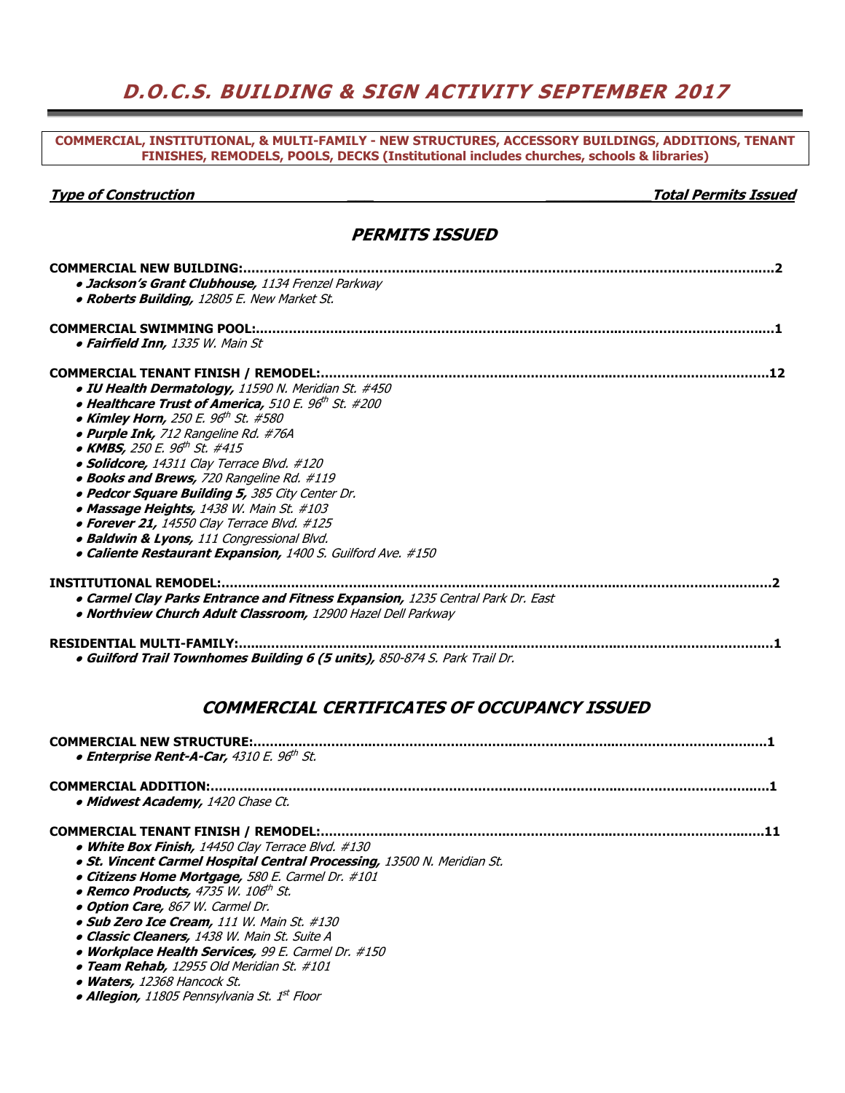# **D.O.C.S. BUILDING & SIGN ACTIVITY SEPTEMBER 2017**

**COMMERCIAL, INSTITUTIONAL, & MULTI-FAMILY - NEW STRUCTURES, ACCESSORY BUILDINGS, ADDITIONS, TENANT FINISHES, REMODELS, POOLS, DECKS (Institutional includes churches, schools & libraries)** 

#### **Type of Construction \_\_\_ \_\_\_\_\_\_\_\_\_\_\_\_Total Permits Issued**

### **PERMITS ISSUED**

| <b>COMMERCIAL NEW BUILDING:.</b><br>· Jackson's Grant Clubhouse, 1134 Frenzel Parkway<br>• Roberts Building, 12805 E. New Market St.<br><b>COMMERCIAL SWIMMING POOL:.</b><br>• Fairfield Inn, 1335 W. Main St<br>COMMERCIAL TENANT FINISH / REMODEL:<br>· IU Health Dermatology, 11590 N. Meridian St. #450<br>• Healthcare Trust of America, 510 E. 96th St. #200<br>• Kimley Horn, 250 E. 96 <sup>th</sup> St. #580<br>· Purple Ink, 712 Rangeline Rd. #76A<br>• KMBS, 250 E. 96 <sup>th</sup> St. #415<br>• Solidcore, 14311 Clay Terrace Blvd. #120<br>• Books and Brews, 720 Rangeline Rd. #119<br>. Pedcor Square Building 5, 385 City Center Dr.<br>• Massage Heights, 1438 W. Main St. #103<br>• Forever 21, 14550 Clay Terrace Blvd. #125<br>• Baldwin & Lyons, 111 Congressional Blvd.<br>• Caliente Restaurant Expansion, 1400 S. Guilford Ave. #150 |
|-----------------------------------------------------------------------------------------------------------------------------------------------------------------------------------------------------------------------------------------------------------------------------------------------------------------------------------------------------------------------------------------------------------------------------------------------------------------------------------------------------------------------------------------------------------------------------------------------------------------------------------------------------------------------------------------------------------------------------------------------------------------------------------------------------------------------------------------------------------------|
|                                                                                                                                                                                                                                                                                                                                                                                                                                                                                                                                                                                                                                                                                                                                                                                                                                                                 |
|                                                                                                                                                                                                                                                                                                                                                                                                                                                                                                                                                                                                                                                                                                                                                                                                                                                                 |
| . 1 2                                                                                                                                                                                                                                                                                                                                                                                                                                                                                                                                                                                                                                                                                                                                                                                                                                                           |
|                                                                                                                                                                                                                                                                                                                                                                                                                                                                                                                                                                                                                                                                                                                                                                                                                                                                 |
|                                                                                                                                                                                                                                                                                                                                                                                                                                                                                                                                                                                                                                                                                                                                                                                                                                                                 |
|                                                                                                                                                                                                                                                                                                                                                                                                                                                                                                                                                                                                                                                                                                                                                                                                                                                                 |
|                                                                                                                                                                                                                                                                                                                                                                                                                                                                                                                                                                                                                                                                                                                                                                                                                                                                 |
|                                                                                                                                                                                                                                                                                                                                                                                                                                                                                                                                                                                                                                                                                                                                                                                                                                                                 |
|                                                                                                                                                                                                                                                                                                                                                                                                                                                                                                                                                                                                                                                                                                                                                                                                                                                                 |
|                                                                                                                                                                                                                                                                                                                                                                                                                                                                                                                                                                                                                                                                                                                                                                                                                                                                 |
|                                                                                                                                                                                                                                                                                                                                                                                                                                                                                                                                                                                                                                                                                                                                                                                                                                                                 |
|                                                                                                                                                                                                                                                                                                                                                                                                                                                                                                                                                                                                                                                                                                                                                                                                                                                                 |
|                                                                                                                                                                                                                                                                                                                                                                                                                                                                                                                                                                                                                                                                                                                                                                                                                                                                 |
|                                                                                                                                                                                                                                                                                                                                                                                                                                                                                                                                                                                                                                                                                                                                                                                                                                                                 |
|                                                                                                                                                                                                                                                                                                                                                                                                                                                                                                                                                                                                                                                                                                                                                                                                                                                                 |
| <b>INSTITUTIONAL REMODEL:.</b>                                                                                                                                                                                                                                                                                                                                                                                                                                                                                                                                                                                                                                                                                                                                                                                                                                  |
| . Carmel Clay Parks Entrance and Fitness Expansion, 1235 Central Park Dr. East                                                                                                                                                                                                                                                                                                                                                                                                                                                                                                                                                                                                                                                                                                                                                                                  |
| · Northview Church Adult Classroom, 12900 Hazel Dell Parkway                                                                                                                                                                                                                                                                                                                                                                                                                                                                                                                                                                                                                                                                                                                                                                                                    |
| <b>RESIDENTIAL MULTI-FAMILY:</b><br>· Guilford Trail Townhomes Building 6 (5 units), 850-874 S. Park Trail Dr.                                                                                                                                                                                                                                                                                                                                                                                                                                                                                                                                                                                                                                                                                                                                                  |
|                                                                                                                                                                                                                                                                                                                                                                                                                                                                                                                                                                                                                                                                                                                                                                                                                                                                 |

# **COMMERCIAL CERTIFICATES OF OCCUPANCY ISSUED**

| <b>COMMERCIAL NEW STRUCTURE:.</b>                                       |  |
|-------------------------------------------------------------------------|--|
| • Enterprise Rent-A-Car, 4310 E. 96th St.                               |  |
|                                                                         |  |
| <b>COMMERCIAL ADDITION:</b>                                             |  |
| • Midwest Academy, 1420 Chase Ct.                                       |  |
|                                                                         |  |
| • White Box Finish, 14450 Clay Terrace Blvd. #130                       |  |
| . St. Vincent Carmel Hospital Central Processing, 13500 N. Meridian St. |  |
| • Citizens Home Mortgage, 580 E. Carmel Dr. #101                        |  |
| • Remco Products, 4735 W. 106 <sup>th</sup> St.                         |  |
| <b>. Option Care, 867 W. Carmel Dr.</b>                                 |  |
| • Sub Zero Ice Cream, 111 W. Main St. #130                              |  |
| <b>• Classic Cleaners,</b> 1438 W. Main St. Suite A                     |  |
| • Workplace Health Services, 99 E. Carmel Dr. #150                      |  |
| • Team Rehab, 12955 Old Meridian St. #101                               |  |
| $\bullet$ Waters 17268 Hancock Ct                                       |  |

● **Waters,** 12368 Hancock St.

|  |  |  | • Allegion, 11805 Pennsylvania St. 1 <sup>st</sup> Floor |  |  |  |
|--|--|--|----------------------------------------------------------|--|--|--|
|--|--|--|----------------------------------------------------------|--|--|--|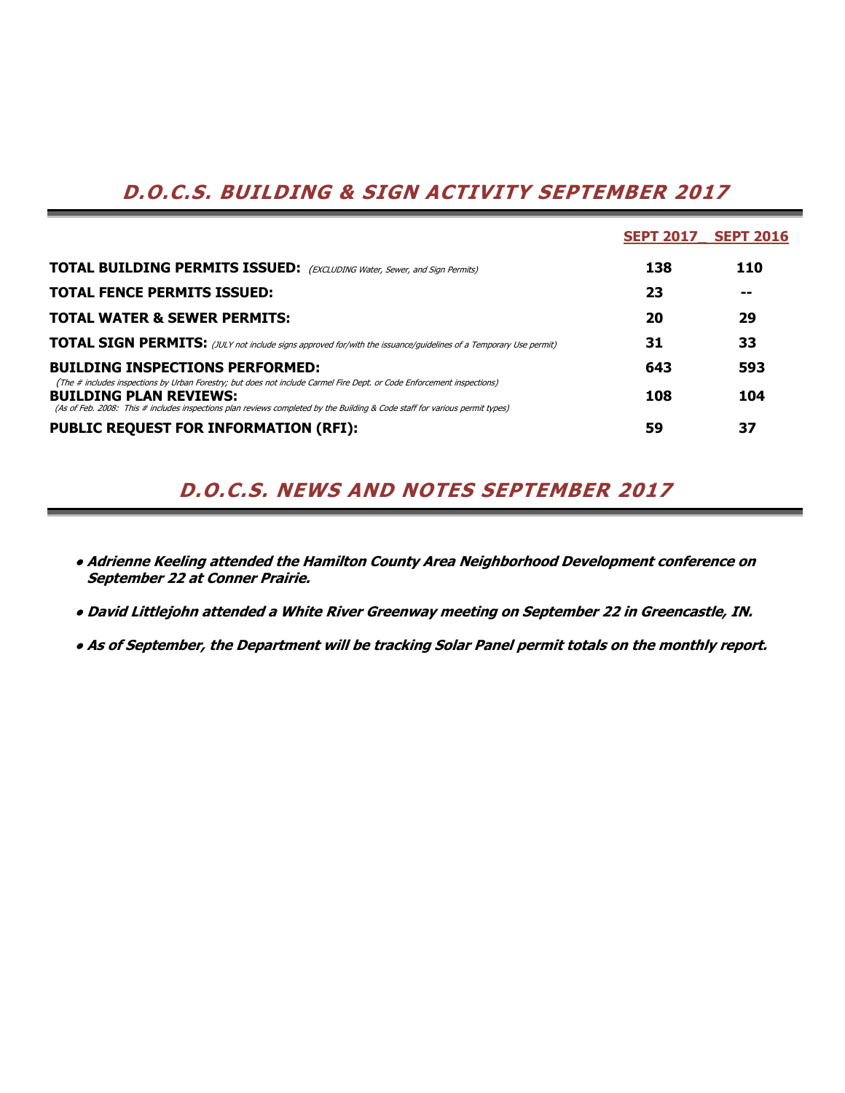# **D.O.C.S. BUILDING & SIGN ACTIVITY SEPTEMBER 2017**

|                                                                                                                                                                                                                                                                                        | <b>SEPT 2017</b> | <b>SEPT 2016</b> |
|----------------------------------------------------------------------------------------------------------------------------------------------------------------------------------------------------------------------------------------------------------------------------------------|------------------|------------------|
| <b>TOTAL BUILDING PERMITS ISSUED:</b> (EXCLUDING Water, Sewer, and Sign Permits)                                                                                                                                                                                                       | 138              | 110              |
| <b>TOTAL FENCE PERMITS ISSUED:</b>                                                                                                                                                                                                                                                     | 23               | --               |
| <b>TOTAL WATER &amp; SEWER PERMITS:</b>                                                                                                                                                                                                                                                | 20               | 29               |
| <b>TOTAL SIGN PERMITS:</b> (JULY not include signs approved for/with the issuance/guidelines of a Temporary Use permit)                                                                                                                                                                | 31               | 33               |
| <b>BUILDING INSPECTIONS PERFORMED:</b>                                                                                                                                                                                                                                                 | 643              | 593              |
| (The # includes inspections by Urban Forestry; but does not include Carmel Fire Dept. or Code Enforcement inspections)<br><b>BUILDING PLAN REVIEWS:</b><br>(As of Feb. 2008: This # includes inspections plan reviews completed by the Building & Code staff for various permit types) | 108              | 104              |
| <b>PUBLIC REQUEST FOR INFORMATION (RFI):</b>                                                                                                                                                                                                                                           | 59               | 37               |

# **D.O.C.S. NEWS AND NOTES SEPTEMBER 2017**

- **● Adrienne Keeling attended the Hamilton County Area Neighborhood Development conference on September 22 at Conner Prairie.**
- **● David Littlejohn attended a White River Greenway meeting on September 22 in Greencastle, IN.**
- **● As of September, the Department will be tracking Solar Panel permit totals on the monthly report.**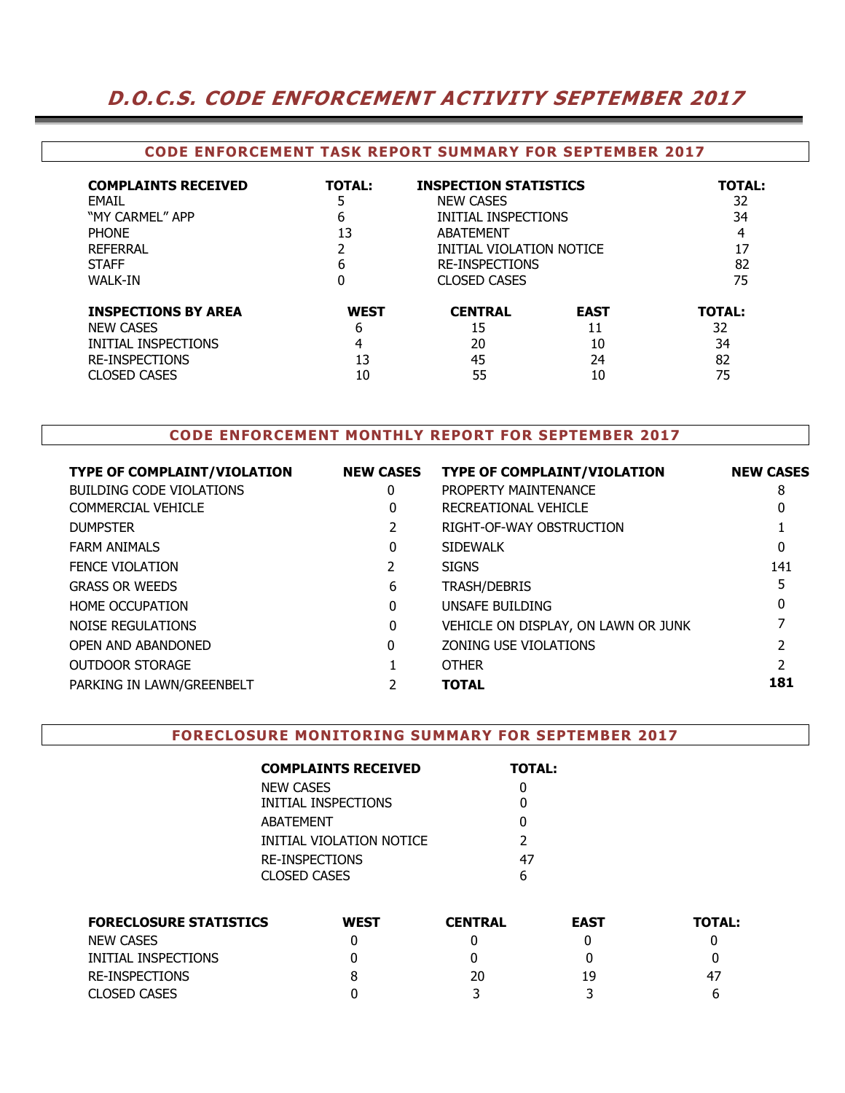# **D.O.C.S. CODE ENFORCEMENT ACTIVITY SEPTEMBER 2017**

### **CODE ENFORCEMENT TASK REPORT SUMMARY FOR SEPTEMBER 2017**

| <b>COMPLAINTS RECEIVED</b><br>FMAIL<br>"MY CARMFI" APP<br><b>PHONE</b><br><b>REFERRAL</b><br><b>STAFF</b><br><b>WALK-IN</b> | <b>TOTAL:</b><br>6<br>13<br>6 | <b>INSPECTION STATISTICS</b><br><b>NEW CASES</b><br>INITIAL INSPECTIONS<br>ABATEMENT<br>INITIAL VIOLATION NOTICE<br><b>RE-INSPECTIONS</b><br><b>CLOSED CASES</b> |             | <b>TOTAL:</b><br>32<br>34<br>4<br>17<br>82<br>75 |
|-----------------------------------------------------------------------------------------------------------------------------|-------------------------------|------------------------------------------------------------------------------------------------------------------------------------------------------------------|-------------|--------------------------------------------------|
| <b>INSPECTIONS BY AREA</b>                                                                                                  | <b>WEST</b>                   | <b>CENTRAL</b>                                                                                                                                                   | <b>EAST</b> | <b>TOTAL:</b>                                    |
| <b>NEW CASES</b>                                                                                                            | 6                             | 15                                                                                                                                                               | 11          | 32                                               |
| INITIAL INSPECTIONS                                                                                                         | 4                             | 20                                                                                                                                                               | 10          | 34                                               |
| <b>RE-INSPECTIONS</b>                                                                                                       | 13                            | 45                                                                                                                                                               | 24          | 82                                               |
| <b>CLOSED CASES</b>                                                                                                         | 10                            | 55                                                                                                                                                               | 10          | 75                                               |

## **CODE ENFORCEMENT MONTHLY REPORT FOR SEPTEMBER 2017**

| <b>TYPE OF COMPLAINT/VIOLATION</b> | <b>NEW CASES</b> | <b>TYPE OF COMPLAINT/VIOLATION</b>  | <b>NEW CASES</b> |
|------------------------------------|------------------|-------------------------------------|------------------|
| <b>BUILDING CODE VIOLATIONS</b>    | 0                | PROPERTY MAINTENANCE                | 8                |
| COMMERCIAL VEHICLE                 | 0                | RECREATIONAL VEHICLE                | 0                |
| <b>DUMPSTER</b>                    |                  | RIGHT-OF-WAY OBSTRUCTION            |                  |
| <b>FARM ANIMALS</b>                | 0                | <b>SIDEWALK</b>                     | 0                |
| <b>FENCE VIOLATION</b>             |                  | <b>SIGNS</b>                        | 141              |
| <b>GRASS OR WEEDS</b>              | 6                | <b>TRASH/DEBRIS</b>                 |                  |
| <b>HOME OCCUPATION</b>             | 0                | UNSAFE BUILDING                     | 0                |
| NOISE REGULATIONS                  | 0                | VEHICLE ON DISPLAY, ON LAWN OR JUNK |                  |
| OPEN AND ABANDONED                 | $\Omega$         | ZONING USE VIOLATIONS               |                  |
| <b>OUTDOOR STORAGE</b>             |                  | <b>OTHER</b>                        |                  |
| PARKING IN LAWN/GREENBELT          |                  | <b>TOTAL</b>                        | 181              |
|                                    |                  |                                     |                  |

#### **FORECLOSURE MONITORING SUMMARY FOR SEPTEMBER 2017**

| <b>COMPLAINTS RECEIVED</b> | <b>TOTAL:</b> |
|----------------------------|---------------|
| <b>NEW CASES</b>           |               |
| INITIAL INSPECTIONS        |               |
| ABATEMENT                  | O             |
| INITIAL VIOLATION NOTICE   | $\mathcal{P}$ |
| RE-INSPECTIONS             | 47            |
| CLOSED CASES               |               |

| <b>FORECLOSURE STATISTICS</b> | <b>WEST</b> | <b>CENTRAL</b> | <b>EAST</b> | <b>TOTAL:</b> |
|-------------------------------|-------------|----------------|-------------|---------------|
| NEW CASES                     |             |                |             |               |
| INITIAL INSPECTIONS           |             |                |             |               |
| RE-INSPECTIONS                |             | 20             | 19          | 47            |
| <b>CLOSED CASES</b>           |             |                |             |               |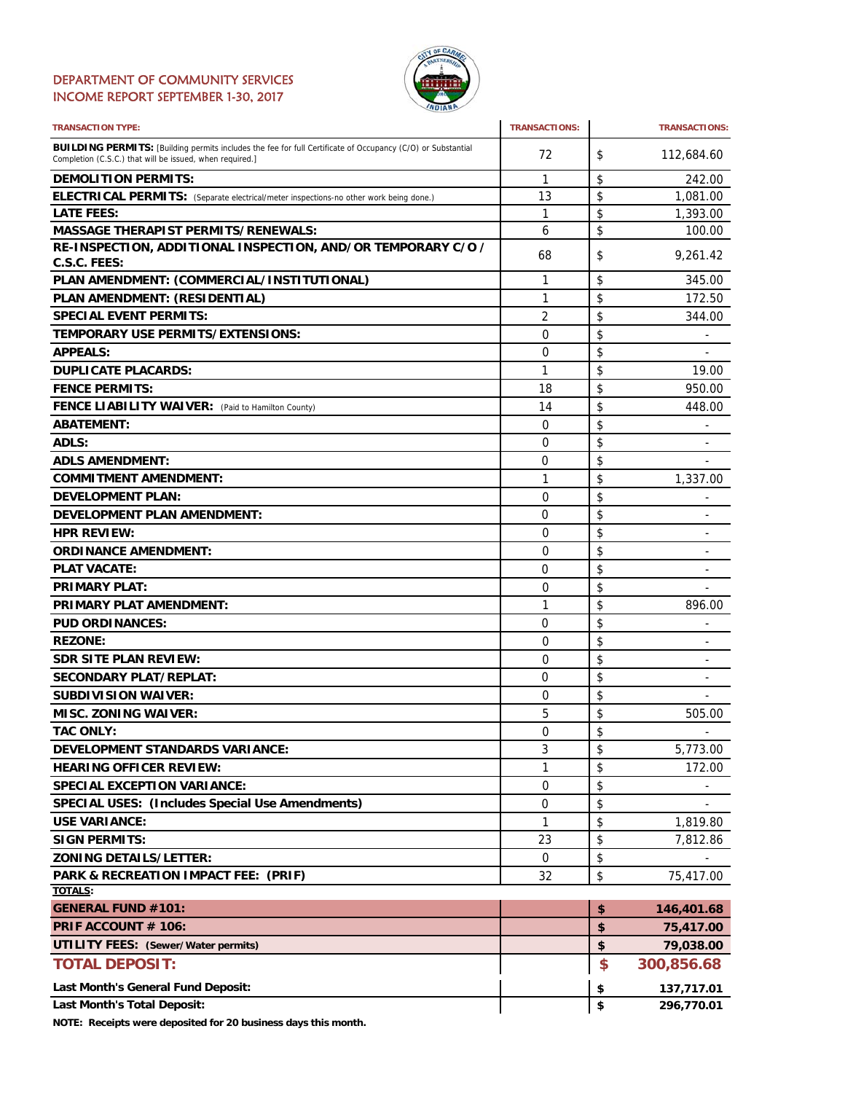### DEPARTMENT OF COMMUNITY SERVICES INCOME REPORT SEPTEMBER 1-30, 2017



| <b>TRANSACTION TYPE:</b>                                                                                                                                                       | <b>TRANSACTIONS:</b> | <b>TRANSACTIONS:</b>           |
|--------------------------------------------------------------------------------------------------------------------------------------------------------------------------------|----------------------|--------------------------------|
| <b>BUILDING PERMITS:</b> [Building permits includes the fee for full Certificate of Occupancy (C/O) or Substantial<br>Completion (C.S.C.) that will be issued, when required.] | 72                   | \$<br>112,684.60               |
| <b>DEMOLITION PERMITS:</b>                                                                                                                                                     | 1                    | \$<br>242.00                   |
| ELECTRICAL PERMITS: (Separate electrical/meter inspections-no other work being done.)                                                                                          | 13                   | \$<br>1,081.00                 |
| <b>LATE FEES:</b>                                                                                                                                                              | 1                    | \$<br>1,393.00                 |
| <b>MASSAGE THERAPIST PERMITS/RENEWALS:</b>                                                                                                                                     | 6                    | \$<br>100.00                   |
| RE-INSPECTION, ADDITIONAL INSPECTION, AND/OR TEMPORARY C/O /                                                                                                                   | 68                   | \$<br>9,261.42                 |
| C.S.C. FEES:                                                                                                                                                                   |                      |                                |
| PLAN AMENDMENT: (COMMERCIAL/INSTITUTIONAL)                                                                                                                                     | 1                    | \$<br>345.00                   |
| PLAN AMENDMENT: (RESIDENTIAL)                                                                                                                                                  | 1                    | \$<br>172.50                   |
| <b>SPECIAL EVENT PERMITS:</b>                                                                                                                                                  | 2                    | \$<br>344.00                   |
| TEMPORARY USE PERMITS/EXTENSIONS:                                                                                                                                              | 0                    | \$<br>÷.                       |
| <b>APPEALS:</b>                                                                                                                                                                | 0                    | \$<br>۰                        |
| <b>DUPLICATE PLACARDS:</b>                                                                                                                                                     | $\mathbf{1}$         | \$<br>19.00                    |
| <b>FENCE PERMITS:</b>                                                                                                                                                          | 18                   | \$<br>950.00                   |
| <b>FENCE LIABILITY WAIVER:</b> (Paid to Hamilton County)                                                                                                                       | 14                   | \$<br>448.00                   |
| <b>ABATEMENT:</b>                                                                                                                                                              | 0                    | \$                             |
| <b>ADLS:</b>                                                                                                                                                                   | 0                    | \$                             |
| <b>ADLS AMENDMENT:</b>                                                                                                                                                         | 0                    | \$                             |
| <b>COMMITMENT AMENDMENT:</b>                                                                                                                                                   | 1                    | \$<br>1,337.00                 |
| <b>DEVELOPMENT PLAN:</b>                                                                                                                                                       | 0                    | \$                             |
| <b>DEVELOPMENT PLAN AMENDMENT:</b>                                                                                                                                             | 0                    | \$<br>۰                        |
| <b>HPR REVIEW:</b>                                                                                                                                                             | 0                    | \$<br>L.                       |
| <b>ORDINANCE AMENDMENT:</b>                                                                                                                                                    | 0                    | \$<br>۰                        |
| <b>PLAT VACATE:</b>                                                                                                                                                            | 0                    | \$<br>-                        |
| <b>PRIMARY PLAT:</b>                                                                                                                                                           | 0                    | \$                             |
| PRIMARY PLAT AMENDMENT:                                                                                                                                                        | 1                    | \$<br>896.00                   |
| <b>PUD ORDINANCES:</b>                                                                                                                                                         | $\Omega$             | \$                             |
| <b>REZONE:</b>                                                                                                                                                                 | 0                    | \$                             |
| <b>SDR SITE PLAN REVIEW:</b>                                                                                                                                                   | 0                    | \$<br>$\overline{\phantom{0}}$ |
| <b>SECONDARY PLAT/REPLAT:</b>                                                                                                                                                  | 0                    | \$                             |
| <b>SUBDIVISION WAIVER:</b>                                                                                                                                                     | 0                    | \$                             |
| <b>MISC. ZONING WAIVER:</b>                                                                                                                                                    | 5                    | \$<br>505.00                   |
| <b>TAC ONLY:</b>                                                                                                                                                               | $\Omega$             | \$                             |
| <b>DEVELOPMENT STANDARDS VARIANCE:</b>                                                                                                                                         | 3                    | \$<br>5,773.00                 |
| <b>HEARING OFFICER REVIEW:</b>                                                                                                                                                 | 1                    | \$<br>172.00                   |
| <b>SPECIAL EXCEPTION VARIANCE:</b>                                                                                                                                             | 0                    | \$                             |
| SPECIAL USES: (Includes Special Use Amendments)                                                                                                                                | 0                    | \$                             |
| <b>USE VARIANCE:</b>                                                                                                                                                           | 1                    | \$<br>1,819.80                 |
| <b>SIGN PERMITS:</b>                                                                                                                                                           | 23                   | \$<br>7,812.86                 |
| <b>ZONING DETAILS/LETTER:</b>                                                                                                                                                  | 0                    | \$                             |
| PARK & RECREATION IMPACT FEE: (PRIF)                                                                                                                                           | 32                   | \$<br>75,417.00                |
| <b>TOTALS:</b>                                                                                                                                                                 |                      |                                |
| <b>GENERAL FUND #101:</b>                                                                                                                                                      |                      | \$<br>146,401.68               |
| PRIF ACCOUNT # 106:                                                                                                                                                            |                      | \$<br>75,417.00                |
| UTILITY FEES: (Sewer/Water permits)                                                                                                                                            |                      | \$<br>79,038.00                |
| <b>TOTAL DEPOSIT:</b>                                                                                                                                                          |                      | \$<br>300,856.68               |
| Last Month's General Fund Deposit:                                                                                                                                             |                      | \$<br>137,717.01               |
| <b>Last Month's Total Deposit:</b>                                                                                                                                             |                      | \$<br>296,770.01               |

**NOTE: Receipts were deposited for 20 business days this month.**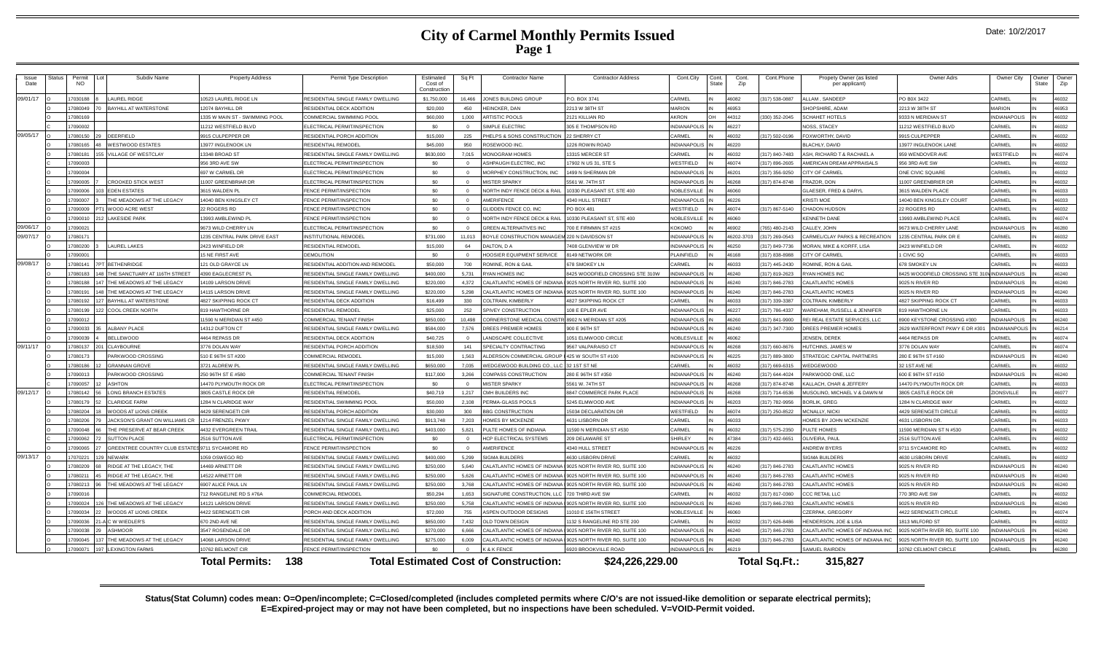## **City of Carmel Monthly Permits Issued Page 1**

|  | Date: 10/2/2017 |
|--|-----------------|
|--|-----------------|

| <i><b>Issue</b></i><br>Date | tatus | Permi<br>NO. |     | Subdiv Name                                     | <b>Property Address</b>        | Permit Type Description            | Estimated<br>Cost of<br>Constructio | Sq Ft      | <b>Contractor Name</b><br><b>Contractor Address</b>                   | Cont.City           | Cont.<br>State | Cont<br>Zip | Cont.Phone     | Propety Owner (as listed<br>per applicant) | Owner Adrs                    | Owner City          | )wner<br>State | Owne<br>Zip |
|-----------------------------|-------|--------------|-----|-------------------------------------------------|--------------------------------|------------------------------------|-------------------------------------|------------|-----------------------------------------------------------------------|---------------------|----------------|-------------|----------------|--------------------------------------------|-------------------------------|---------------------|----------------|-------------|
| 09/01/17                    |       | 17030188     |     | LAUREL RIDGE                                    | 10523 LAUREL RIDGE LN          | RESIDENTIAL SINGLE FAMILY DWELLING | \$1,750,000                         | 16.466     | JONES BUILDING GROUP<br>P.O. BOX 3741                                 | CARMEL              |                | 46082       | 317) 538-0887  | LLAM. SANDEEP                              | PO B0X 3422                   | CARMEL              |                | 46032       |
|                             |       | 17080049     |     | <b>BAYHILL AT WATERSTONE</b>                    | 12074 BAYHILL DR               | RESIDENTIAL DECK ADDITION          | \$20,000                            | 450        | HEINCKER, DAN<br>2213 W 38TH ST                                       | <b>MARION</b>       |                | 46953       |                | HOPSHIRE, ADAM                             | 2213 W 38TH ST                | <b>ARION</b>        |                | 46953       |
|                             |       | 17080169     |     |                                                 | 1335 W MAIN ST - SWIMMING POOL | <b>COMMERCIAL SWIMMING POOL</b>    | \$60,000                            | 1.000      | <b>ARTISTIC POOLS</b><br>2121 KILLIAN RD                              | <b>KRON</b>         |                | 44312       | 330) 352-2045  | <b>SCHAHET HOTELS</b>                      | 9333 N MERIDIAN ST            | NDIANAPOLIS         |                | 46032       |
|                             |       | 17090002     |     |                                                 | 11212 WESTFIELD BLVD           | ELECTRICAL PERMIT/INSPECTION       | \$O                                 | $\Omega$   | SIMPLE ELECTRIC<br>305 E THOMPSON RD                                  | <b>INDIANAPOLIS</b> |                | 46227       |                | <b>NOSS, STACEY</b>                        | 1212 WESTFIELD BLVD           | CARMEL              |                | 46032       |
| 09/05/17                    |       | 17080150     |     | DEERFIELD                                       | 9915 CULPEPPER DR              | RESIDENTIAL PORCH ADDITION         | \$15,000                            | 225        | PHELPS & SONS CONSTRUCTION<br>22 SHERRY CT                            | CARMEL              |                | 46032       | 317) 502-0196  | OXWORTHY, DAVID                            | 9915 CULPEPPER                | CARMEL              |                | 46032       |
|                             |       | 17080165     |     | <b>WESTWOOD ESTATES</b>                         | 13977 INGLENOOK LN             | RESIDENTIAL REMODEL                | \$45,000                            | 950        | ROSEWOOD INC<br><b>226 ROWIN ROAD</b>                                 | <b>INDIANAPOLIS</b> |                | 46220       |                | <b>BLACHLY, DAVID</b>                      | 3977 INGLENOOK LANE           | CARMEL              |                | 46032       |
|                             |       | 17080181     |     | VILLAGE OF WESTCLAY                             | 13348 BROAD ST                 | RESIDENTIAL SINGLE FAMILY DWELLING | \$630,000                           | 7.015      | <b>MONOGRAM HOMES</b><br><b>13315 MERCER ST</b>                       | CARMEL              |                | 46032       | (317) 840-7483 | SH. RICHARD T & RACHAEL A                  | 59 WENDOVER AVE               | WESTFIELD           |                | 46074       |
|                             |       | 17090003     |     |                                                 | 956 3RD AVE SW                 | ELECTRICAL PERMIT/INSPECTION       | \$0                                 |            | ASHPAUGH ELECTRIC. INC<br>7902 N US 31, STE 5                         | <b>NESTFIELD</b>    |                | 46074       | 317) 896-2605  | <b>MERICAN DREAM APPRAISALS</b>            | 956 3RD AVE SW                | CARMEL              |                | 46032       |
|                             |       | 17090004     |     |                                                 | 697 W CARMEL DR                | ELECTRICAL PERMIT/INSPECTION       | \$0                                 | $\Omega$   | MORPHEY CONSTRUCTION. INC<br>1499 N SHERMAN DR                        | NDIANAPOLIS         |                | 46201       | 317) 356-9250  | <b>CITY OF CARME</b>                       | ONE CIVIC SQUARE              | CARMEL              |                | 46032       |
|                             |       | 17090005     |     | <b>CROOKED STICK WEST</b>                       | 11007 GREENBRIAR DR            | ELECTRICAL PERMIT/INSPECTION       | \$0                                 | $\Omega$   | <b>MISTER SPARKY</b><br>561 W. 74TH ST                                | NDIANAPOLIS         |                | 46268       | 317) 874-8748  | RAZOR, DON                                 | 1007 GREENBRIER DR            | CARMEL              |                | 46032       |
|                             |       | 17090006     |     | <b>EDEN ESTATES</b>                             | 3615 WALDEN PL                 | FENCE PERMIT/INSPECTION            | \$0                                 | $\Omega$   | NORTH INDY FENCE DECK & RAIL<br>10330 PLEASANT ST, STE 400            | NOBLESVILLE         |                | 46060       |                | <b>JI AFSER, FRED &amp; DARYI</b>          | 3615 WALDEN PLACE             | CARMEL              |                | 46033       |
|                             |       | 17090007     |     | THE MEADOWS AT THE LEGACY                       | 14040 BEN KINGSLEY CT          | FENCE PERMIT/INSPECTION            | \$0                                 | $\Omega$   | <b>AMERIFENCE</b><br><b>1340 HULL STREET</b>                          | NDIANAPOLIS         |                | 46226       |                | KRISTI MOF                                 | 4040 BEN KINGSLEY COURT       | CARMEL              |                | 46033       |
|                             |       | 17090009     |     | WOOD ACRE WEST                                  | 22 ROGERS RD                   | FENCE PERMIT/INSPECTION            | <b>SO</b>                           | $\Omega$   | GLIDDEN FENCE CO. INC<br><b>PO BOX 481</b>                            | WESTFIELD           |                | 46074       | (317) 867-5140 | CHADON HUDSON                              | <b>2 ROGERS RD</b>            | <b>CARMEL</b>       |                | 46032       |
|                             |       | 17090010     |     | LAKESIDE PARK                                   | 13993 AMBI FWIND P             | FENCE PERMIT/INSPECTION            | \$0                                 |            | NORTH INDY FENCE DECK & RAIL<br>10330 PLEASANT ST, STE 400            | <b>VOBLESVILLE</b>  |                | 46060       |                | <b>CENNETH DANE</b>                        | 3993 AMBLEWIND PLACE          | CARMEL              |                | 46074       |
| 09/06/17                    |       | 1709002      |     |                                                 | 9673 WILD CHERRY LN            | ELECTRICAL PERMIT/INSPECTION       | \$0                                 |            | GREEN ALTERNATIVES INC.<br>700 E FIRMMIN ST #215                      | KOKOMO              |                | 46902       | 765) 480-2143  | ALLEY, JOHN                                | 9673 WILD CHERRY LANE         | NDIANAPOLI          |                | 46280       |
| 09/07/17                    |       | 17080171     |     |                                                 | 1235 CENTRAL PARK DRIVE EAST   | <b>INSTITUTIONAL REMODEL</b>       | \$731,000                           | 11.013     | BOYLE CONSTRUCTION MANAGEI<br><b>1220 N DAVIDSON ST</b>               | <b>NDIANAPOLIS</b>  |                | 46202-3703  | 317) 269-0543  | ARMEL/CLAY PARKS & RECREATION              | 235 CENTRAL PARK DR E         | CARMEL              |                | 46032       |
|                             |       | 17080200     |     | <b>AUREL LAKES</b>                              | 2423 WINFIFI D DR              | <b>RESIDENTIAL REMODEL</b>         | \$15,000                            | 64         | DALTON, D A<br><b>7408 GLENVIEW W DE</b>                              | NDIANAPOLIS         |                | 46250       | 317) 849-7736  | <b>JORAN, MIKE &amp; KORFE, LISA</b>       | 2423 WINFIFI D DR             | CARMEL              |                | 46032       |
|                             |       | 1709000      |     |                                                 | 15 NE FIRST AVE                | <b>DEMOLITION</b>                  | \$O                                 |            | <b>HOOSIER EQUIPMENT SERVICE</b><br>8149 NETWORK DR                   | <b>LAINFIELD</b>    |                | 46168       | 317) 838-8988  | <b>ITY OF CARMEL</b>                       | CIVIC SQ                      | CARMEL              |                | 46033       |
| 09/08/17                    |       | 1708014      |     | <b>BETHENRIDGE</b>                              | 121 OLD GRAYCE LN              | RESIDENTIAL ADDITION AND REMODEL   | \$50,000                            | 700        | ROMINE, RON & GAIL<br>678 SMOKEY LN                                   | <b>ARMEL</b>        |                | 46033       | (317) 445-2430 | OMINE, RON & GAIL                          | 678 SMOKEY LN                 | CARMEL              |                | 46033       |
|                             |       | 17080183     |     | THE SANCTUARY AT 116TH STREET                   | 4390 EAGLECREST PL             | RESIDENTIAL SINGLE FAMILY DWELLING | \$400,000                           | 5.731      | <b>RYAN HOMES INC</b><br>3425 WOODFIELD CROSSING STE 310W             | <b>IDIANAPOLIS</b>  |                | 46240       | 317) 819-2623  | YAN HOMES INC                              | 425 WOODFIELD CROSSING STE 31 | NDIANAPOLIS         |                | 46240       |
|                             |       | 17080188     |     | THE MEADOWS AT THE LEGACY                       | 14109 LARSON DRIVE             | RESIDENTIAL SINGLE FAMILY DWELLING | \$220,000                           | 4.372      | 9025 NORTH RIVER RD. SUITE 100<br>CALATI ANTIC HOMES OF INDIANA       | <b>JOIANAPOLIS</b>  |                | 46240       | 317) 846-2783  | ALATI ANTIC HOMES                          | 9025 N RIVER RD               | <b>SI IORANAICH</b> |                | 46240       |
|                             |       | 1708019      |     | THE MEADOWS AT THE LEGACY                       | 14115 LARSON DRIVE             | RESIDENTIAL SINGLE FAMILY DWELLING | \$220,000                           | 5.298      | <b>CALATLANTIC HOMES OF INDIANA</b><br>9025 NORTH RIVER RD, SUITE 100 | <b>NDIANAPOLI</b>   |                | 46240       | 317) 846-2783  | ALATLANTIC HOMES                           | 025 N RIVER RD                | NDIANAPOLIS         |                | 46240       |
|                             |       | 17080192     |     | <b>BAYHILL AT WATERSTONE</b>                    | 4827 SKIPPING ROCK CT          | <b>RESIDENTIAL DECK ADDITION</b>   | \$16,499                            | 330        | COLTRAIN, KIMBERLY<br><b>1827 SKIPPING ROCK CT</b>                    | CARMEL              |                | 46033       | 317) 339-3387  | OLTRAIN, KIMBERLY                          | <b>4827 SKIPPING ROCK CT</b>  | CARMEL              |                | 46033       |
|                             |       | 17080199     |     | <b>COOL CREEK NORTH</b>                         | 819 HAWTHORNE DR               | RESIDENTIAL REMODEL                | \$25,000                            | 252        | SPIVEY CONSTRUCTION<br>108 E EPLER AVE                                | VDIANAPOLIS         |                | 46227       | (317) 786-4337 | AREHAM, RUSSELL & JENNIFER                 | <b>819 HAWTHORNE LN</b>       | <b>ARMEL</b>        |                | 46033       |
|                             |       | 17090012     |     |                                                 | 11590 N MERIDIAN ST #450       | <b>COMMERCIAL TENANT FINISH</b>    | \$850,000                           | 10 498     | ORNERSTONE MEDICAL CONSTRI 8902 N MERIDIAN ST #205                    | NDIANAPOLIS         |                | 46260       | 317) 841-9900  | EI REAL ESTATE SERVICES, LLC               | 3900 KEYSTONE CROSSING #300   | <b>NDIANAPOLIS</b>  |                | 46240       |
|                             |       | 17090033     |     | ALBANY PLACE                                    | 14312 DUFTON CT                | RESIDENTIAL SINGLE FAMILY DWELLING | \$584,000                           | 7.576      | DREES PREMIER HOME!<br>900 F 96TH ST                                  | INDIANAPOLIS        |                | 46240       | 317) 347-7300  | OREES PREMIER HOMES                        | 629 WATERFRONT PKWY E DR #301 | <b>NDIANANPOLI</b>  |                | 46214       |
|                             |       | 17090039     |     | <b>BELLEWOOD</b>                                | 4464 REPASS DR                 | RESIDENTIAL DECK ADDITION          | \$40,725                            | $\sqrt{2}$ | LANDSCAPE COLLECTIVE<br>051 ELMWOOD CIRCLE                            | NOBLESVILLE         |                | 46062       |                | <b>FNSEN, DEREK</b>                        | 4464 REPASS DR                | ARMFI               |                | 46074       |
| 09/11/17                    |       | 17080137     |     | <b>CLAYBOURNE</b>                               | 3776 DOI AN WAY                | RESIDENTIAL PORCH ADDITION         | \$18,500                            | 141        | SPECIALTY CONTRACTING<br>9567 VALPARAISO CT                           | <b>NDIANAPOLIS</b>  |                | 46268       | 317) 660-8676  | IUTCHINS. JAMES W                          | 3776 DOLAN WAY                | ARMEL               |                | 46074       |
|                             |       | 17080173     |     | PARKWOOD CROSSING                               | 10 E 96TH ST #200              | <b>COMMERCIAL REMODEL</b>          | \$15,000                            | 1.563      | <b>ILDERSON COMMERCIAL GROUF</b><br>425 W SOUTH ST #100               | NDIANAPOLIS         |                | 46225       | 317) 889-3800  | TRATEGIC CAPITAL PARTNERS                  | 80 E 96TH ST #160             | NDIANAPOLIS         |                | 46240       |
|                             |       | 17080186     |     | <b>GRANNAN GROVE</b>                            | 3721 ALDREW PL                 | RESIDENTIAL SINGLE FAMILY DWELLING | \$650,000                           | 7,035      | 32 1ST ST NE<br><b>NEDGEWOOD BUILDING CO., LL</b>                     | CARMEL              |                | 46032       | (317) 669-6315 | VEDGEWOOD                                  | 32 1ST AVE NE                 | CARMEL              |                | 46032       |
|                             |       | 17090013     |     | PARKWOOD CROSSING                               | 250 96TH ST E #580             | <b>COMMERCIAL TENANT FINISH</b>    | \$117,000                           | 3.266      | COMPASS CONSTRUCTION<br>280 E 96TH ST #350                            | <b>INDIANAPOLIS</b> |                | 46240       | (317) 644-4024 | ARKWOOD ONE, LLC                           | 600 E 96TH ST #150            | <b>NDIANAPOLIS</b>  |                | 46240       |
|                             |       | 17090057     |     | <b>ASHTON</b>                                   | 14470 PLYMOUTH ROCK DR         | ELECTRICAL PERMIT/INSPECTION       | \$0                                 | $\Omega$   | <b>MISTER SPARKY</b><br>5561 W. 74TH ST                               | INDIANAPOLIS        |                | 46268       | 317) 874-8748  | <b>KALLACH, CHAR &amp; JEFFERY</b>         | 4470 PLYMOUTH ROCK DR         | CARMEL              |                | 46033       |
| 09/12/17                    |       | 17080142     |     | LONG BRANCH ESTATES                             | 3805 CASTLE ROCK DR            | RESIDENTIAL REMODEI                | \$40,719                            | 1,217      | <b>8847 COMMERCE PARK PLACE</b><br>CMH BUILDERS INC                   | <b>NDIANAPOLIS</b>  |                | 46268       | 317) 714-6536  | IUSOLINO, MICHAEL V & DAWN M               | 805 CASTLE ROCK DF            | <b>IONSVILLE</b>    |                | 46077       |
|                             |       | 17080179     |     | CLARIDGE FARM                                   | 1284 N CLARIDGE WAY            | RESIDENTIAL SWIMMING POOL          | \$50,000                            | 2.108      | PERMA-GLASS POOLS<br>5245 ELMWOOD AVE                                 | INDIANAPOLIS        |                | 46203       | (317) 782-9956 | ORLIK GREG                                 | 1284 N CLARIDGE WAY           | CARMEL              |                | 46032       |
|                             |       | 17080204     |     | WOODS AT LIONS CREEK                            | 4429 SERENGETI CIR             | RESIDENTIAL PORCH ADDITION         | \$30,000                            | 300        | <b>BBG CONSTRUCTION</b><br>15034 DECLARATION DR                       | <b>NESTFIELD</b>    |                | 46074       | 317) 250-8522  | <b>ACNALLY, NICK</b>                       | 429 SERENGETI CIRCLE          | CARMEL              |                | 46032       |
|                             |       | 17080206     |     | JACKSON'S GRANT ON WILLIAMS CR                  | 1214 FRENZEL PKWY              | RESIDENTIAL SINGLE FAMILY DWELLING | \$913.748                           | 7,203      | <b>HOMES BY MCKENZIE</b><br>1631 LISBORN DR                           | CARMEL              |                | 46033       |                | <b>IOMES BY JOHN MCKENZIE</b>              | 4631 LISBORN DR               | CARMEL              |                | 46033       |
|                             |       | 17090048     |     | THE PRESERVE AT BEAR CREEK                      | <b>4432 EVERGREEN TRAIL</b>    | RESIDENTIAL SINGLE FAMILY DWELLING | \$403,000                           | 5.821      | PULTE HOMES OF INDIANA<br>1590 N MERIDIAN ST #530                     | CARMEL              |                | 46032       | (317) 575-2350 | ULTE HOMES                                 | 1590 MERIDIAN ST N #530       | CARMEI              |                | 46032       |
|                             |       | 17090063     |     | <b>SUTTON PLACE</b>                             | 2516 SUTTON AVE                | ELECTRICAL PERMIT/INSPECTION       | \$0                                 | $\Omega$   | HCP ELECTRICAL SYSTEMS<br>209 DELAWARE ST                             | <b>HIRLEY</b>       |                | 47384       | (317) 432-6651 | <b>OLIVEIRA, PAUL</b>                      | 2516 SUTTON AVE               | CARMEL              |                | 46032       |
|                             |       | 17090065     |     | GREENTREE COUNTRY CLUB ESTATES 9711 SYCAMORE RD |                                | FENCE PERMIT/INSPECTION            | \$0                                 |            | AMERIFENCE<br><b>1340 HULL STREET</b>                                 | NDIANAPOLI          |                | 46226       |                | NDREW BYERS                                | 9711 SYCAMORE RD              | CARMEL              |                | 46032       |
| 09/13/17                    |       | 17070221     |     | <b>NFWARK</b>                                   | 1059 OSWEGO RD                 | RESIDENTIAL SINGLE FAMILY DWELLING | \$400,000                           | 5.299      | SIGMA BUILDERS<br>1630 LISRORN DRIVE                                  | ARMEL               |                | 46032       |                | <b>SIGMA BUILDERS</b>                      | 4630 LISBORN DRIVE            | ARMFI               |                | 46032       |
|                             |       | 17080209     |     | RIDGE AT THE LEGACY. THE                        | 14469 ARNETT DF                | RESIDENTIAL SINGLE FAMILY DWELLING | \$250,000                           | 5.640      | CALATLANTIC HOMES OF INDIAN<br>9025 NORTH RIVER RD, SUITE 100         | <b>NDIANAPOLI</b>   |                | 46240       | 317) 846-2783  | CALATLANTIC HOMES                          | 025 N RIVER RD                | NDIANAPOLIS         |                | 46240       |
|                             |       | 17080211     |     | RIDGE AT THE LEGACY. THE                        | 14522 ARNETT DR                | RESIDENTIAL SINGLE FAMILY DWELLING | \$250,000                           | 5.626      | CALATLANTIC HOMES OF INDIANA<br>9025 NORTH RIVER RD, SUITE 100        | NDIANAPOLIS         |                | 46240       | (317) 846-2783 | CALATLANTIC HOMES                          | 9025 N RIVER RD               | <b>INDIANAPOLIS</b> |                | 46240       |
|                             |       | 17080213     |     | <b>HE MEADOWS AT THE LEGACY</b>                 | 6907 ALICE PAUL LN             | RESIDENTIAL SINGLE FAMILY DWELLING | \$250,000                           | 3.768      | CALATLANTIC HOMES OF INDIANA<br>9025 NORTH RIVER RD, SUITE 100        | <b>NDIANAPOLIS</b>  |                | 46240       | 317) 846-2783  | <b>ALATLANTIC HOMES</b>                    | 9025 N RIVER RD               | <b>NDIANAPOLIS</b>  |                | 46240       |
|                             |       | 17090016     |     |                                                 | 712 RANGELINE RD S #76A        | <b>COMMERCIAL REMODEL</b>          | \$50,294                            | 1.653      | SIGNATURE CONSTRUCTION, LLC<br>720 THIRD AVE SW                       | ARMFI               |                | 46032       | 317) 817-0360  | CC RETAIL LLC                              | 770 3RD AVE SW                | ARMFI               |                | 46032       |
|                             |       | 17090024     |     | THE MEADOWS AT THE LEGACY                       | 14121 LARSON DRIVE             | RESIDENTIAL SINGLE FAMILY DWELLING | \$250,000                           | 5,758      | CALATLANTIC HOMES OF INDIANA<br>9025 NORTH RIVER RD, SUITE 100        | NDIANAPOLI          |                | 46240       | 317) 846-2783  | ALATLANTIC HOMES                           | 025 N RIVER RD                | NDIANAPOLIS         |                | 46240       |
|                             |       | 17090034     |     | WOODS AT LIONS CREEK                            | 4422 SERENGETI CIR             | PORCH AND DECK ADDITION            | \$72,000                            | 755        | ASPEN OUTDOOR DESIGNS<br>11010 F 156TH STRFFT                         | <b>NOBLESVILLE</b>  |                | 46060       |                | <b>CZERPAK GREGORY</b>                     | 4422 SERENGETI CIRCI E        | ARMFI               |                | 46074       |
|                             |       | 17090036     |     | C W WIEDLER'S                                   | 670 2ND AVE NE                 | RESIDENTIAL SINGLE FAMILY DWELLING | \$850,000                           | 7.432      | OLD TOWN DESIGN<br>1132 S RANGELINE RD STE 200                        | CARMEL              |                | 46032       | 317) 626-8486  | <b>IFNDERSON. JOE &amp; LISA</b>           | 813 MILFORD ST                | CARMEL              |                | 46032       |
|                             |       | 17090038     |     | ASHMOOR                                         | 3547 ROSENDALE DR              | RESIDENTIAL SINGLE FAMILY DWELLING | \$270,000                           | 6.666      | <b>CALATLANTIC HOMES OF INDIANA</b><br>9025 NORTH RIVER RD, SUITE 100 | VDIANAPOLIS         |                | 46240       | 317) 846-2783  | ALATLANTIC HOMES OF INDIANA INC            | 025 NORTH RIVER RD, SUITE 100 | NDIANAPOLIS         |                | 46240       |
|                             |       | 17090045     |     | THE MEADOWS AT THE LEGACY                       | 14068 LARSON DRIVE             | RESIDENTIAL SINGLE FAMILY DWELLING | \$275,000                           | 6.009      | CALATLANTIC HOMES OF INDIANA 19025 NORTH RIVER RD. SUITE 100          | <b>NDIANAPOLIS</b>  |                | 46240       | (317) 846-2783 | CALATLANTIC HOMES OF INDIANA INC           | 025 NORTH RIVER RD, SUITE 100 | NDIANAPOLIS         |                | 46240       |
|                             |       | 17090071     | 197 | <b>LEXINGTON FARMS</b>                          | 10762 BELMONT CIR              | FENCE PERMIT/INSPECTION            | \$0                                 |            | K & K FENCE<br><b>920 BROOKVILLE ROAD</b>                             | <b>NDIANAPOLIS</b>  |                | 46219       |                | SAMUEL RAIRDEN                             | 0762 CELMONT CIRCLE           | CARMEL              |                | 46280       |
|                             |       |              |     |                                                 | 138<br><b>Total Permits:</b>   |                                    |                                     |            | <b>Total Estimated Cost of Construction:</b><br>\$24,226,229.00       |                     |                |             | Total Sq.Ft.:  | 315,827                                    |                               |                     |                |             |

**Status(Stat Column) codes mean: O=Open/incomplete; C=Closed/completed (includes completed permits where C/O's are not issued-like demolition or separate electrical permits); E=Expired-project may or may not have been completed, but no inspections have been scheduled. V=VOID-Permit voided.**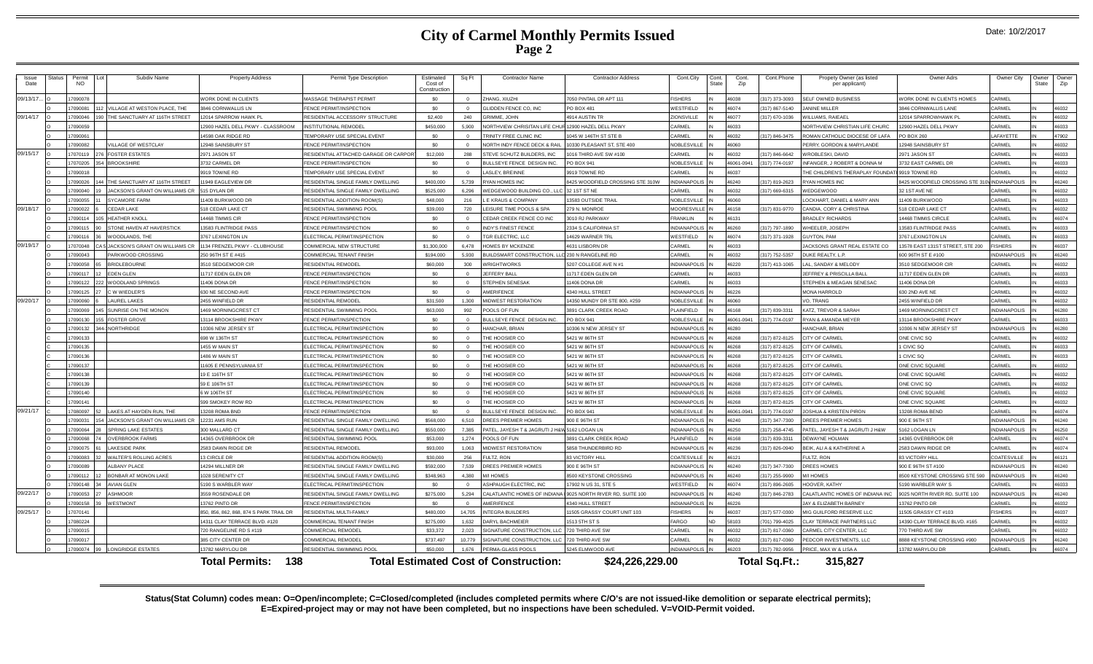## **City of Carmel Monthly Permits Issued Page 2**

| Issue<br>Date | Status | Permit<br><b>NO</b> | Subdiv Name                    | <b>Property Address</b>                 | Permit Type Description                                       | Estimated<br>Cost of<br>Constructio | Sq Ft      | <b>Contractor Name</b>                                   | <b>Contractor Address</b>          | Cont.City                                      | Cont.<br>State | Cont.<br>Zip        | Cont.Phone                       | Propetv Owner (as listec<br>per applicant)         | Owner Adrs                      | Owner City          | <b>Owner</b><br><b>State</b> | Owne<br>Zip    |
|---------------|--------|---------------------|--------------------------------|-----------------------------------------|---------------------------------------------------------------|-------------------------------------|------------|----------------------------------------------------------|------------------------------------|------------------------------------------------|----------------|---------------------|----------------------------------|----------------------------------------------------|---------------------------------|---------------------|------------------------------|----------------|
| 09/13/17.     |        | 7090078             |                                | WORK DONE IN CLIENTS                    | MASSAGE THERAPIST PERMIT                                      | \$0                                 |            | ZHANG, XIUZHI                                            | 7050 PINTAIL DR APT 111            | <b>ISHERS</b>                                  |                | 6038                | 317) 373-3093                    | ELF OWNED BUSINESS                                 | VORK DONE IN CLIENTS HOMES      | ARMEL               |                              |                |
|               |        | 7090081             | VILLAGE AT WESTON PLACE. THE   | 3846 CORNWALLIS LN                      | FENCE PERMIT/INSPECTION                                       | \$0                                 |            | GLIDDEN FENCE CO. INC                                    | PO BOX 481                         | VESTFIELD                                      |                | 16074               | (317) 867-5140                   | ANINE MILLER                                       | <b>846 CORNWALLIS LANE</b>      | ARMEI               |                              | 16032          |
| 09/14/17      |        | 709004              | THE SANCTUARY AT 116TH STREET  | 2014 SPARROW HAWK PI                    | RESIDENTIAL ACCESSORY STRUCTURE                               | \$2,400                             | 240        | <b>GRIMME, JOHN</b>                                      | 4914 AUSTIN TR                     | <b>JONSVILLE</b>                               |                | 6077                | (317) 670-1036                   | ILLIAMS, RAIEAE                                    | 2014 SPARROWHAWK PI             | <b>ARME</b>         |                              | 16032          |
|               |        | 7090059             |                                | 12900 HAZEL DELL PKWY - CLASSROOM       | <b>INSTITUTIONAL REMODEL</b>                                  | \$450,000                           | 5,900      | NORTHVIEW CHRISITAN LIFE CHUI                            | R 12900 HAZEL DELL PKWY            | ARMEL                                          |                | 46033               |                                  | NORTHVIEW CHRISTIAN LIFE CHURC                     | 2900 HAZEL DELL PKWY            | ARMEL               |                              | 46033          |
|               |        | 7090061             |                                | 14598 OAK RIDGE RD                      | TEMPORARY USE SPECIAL EVENT                                   | \$0                                 |            | TRINITY FREE CLINIC INC                                  | 1045 W 146TH ST STE B              | ARMEL                                          |                | 16032               | (317) 846-3475                   | ROMAN CATHOLIC DIOCESE OF LAFA                     | O BOX 260                       | AFAYETTE            |                              | 47902          |
|               |        | 7090082             | VILLAGE OF WESTCLAY            | 12948 SAINSBURY ST                      | FENCE PERMIT/INSPECTION                                       | \$0                                 |            | NORTH INDY FENCE DECK & RAIL                             | 10330 PLEASANT ST. STE 400         | <b>JOBLESVILLE</b>                             |                | 16060               |                                  | <b>ERRY, GORDON &amp; MARYLANDE</b>                | 2948 SAINSBURY ST               | ARMEL               |                              | 16032          |
| 09/15/17      |        | 7070119             | <b>FOSTER ESTATES</b>          | 2971 JASON ST                           | RESIDENTIAL ATTACHED GARAGE OR CARPO                          | \$12,000                            | 288        | STEVE SCHUTZ BUILDERS. INC                               | 1016 THIRD AVE SW #100             | ARMEL                                          |                | 6032                | (317) 846-6642                   | (ROBLESKI, DAVID                                   | 971 JASON ST                    | ARMEI               |                              | 16033          |
|               |        | 1707020             | <b>BROOKSHIRE</b>              | 3732 CARMEL DR                          | FENCE PERMIT/INSPECTION                                       | \$0                                 | $\sqrt{2}$ | BULLSEYE FENCE DESIGN INC.                               | <b>PO BOX 941</b>                  | NORI ESVILLE                                   |                | 46061-0941          | (317) 774-0197                   | <b>NFANGER, J ROBERT &amp; DONNA M</b>             | 3732 EAST CARMEL DR             | ARMEI               |                              | 46033          |
|               |        | 7090018             |                                | 9919 TOWNE RD                           | TEMPORARY USE SPECIAL EVENT                                   | \$0                                 |            | LASLEY, BREINNE                                          | 9919 TOWNE RD                      | ARMFI:                                         |                | 6037                |                                  | HE CHILDREN'S THERAPLAY FOUNDAT                    | 9919 TOWNE RD                   | ARMFI               |                              | 16032          |
|               |        | 7090026             | THE SANCTUARY AT 116TH STREET  | 1949 EAGLEVIEW DR                       | RESIDENTIAL SINGLE FAMILY DWELLING                            | \$400,000                           | 5.739      | <b>RYAN HOMES INC</b>                                    | 8425 WOODFIELD CROSSING STE 310W   | <b>NDIANAPOLIS</b>                             |                | 46240               | (317) 819-2623                   | YAN HOMES INC                                      | 425 WOODFIELD CROSSING STE 31   | <b>INDIANAPOLIS</b> |                              | 16240          |
|               |        | 7090040             | JACKSON'S GRANT ON WILLIAMS CR | 515 DYLAN DR                            | RESIDENTIAL SINGLE FAMILY DWELLING                            | \$525,000                           | 6,296      | WEDGEWOOD BUILDING CO., LLC                              | 32 1ST ST NE                       | ARMEL                                          |                | 16032               | (317) 669-6315                   | VEDGEWOOD                                          | 32 1ST AVE NE                   | ARMEL               |                              | 16032          |
|               |        | 7090055             | SYCAMORE FARM                  | 11409 BURKWOOD DR                       | RESIDENTIAL ADDITION-ROOM(S)                                  | \$48,000                            | 216        | <b>F KRAUS &amp; COMPANY</b>                             | 13583 OUTSIDE TRAIL                | NORI ESVILLE                                   |                | 06061               |                                  | OCKHART DANIFI & MARY ANN                          | 1409 BURKWOOD                   | ARMEI               |                              | 46033          |
| 09/18/17      |        | 7090022             | CEDAR LAKE                     | 518 CEDAR LAKE CT                       | <b>RESIDENTIAL SWIMMING POOL</b>                              | \$39,000                            | 720        | LEISURE TIME POOLS & SPA                                 | 279 N. MONROE                      | <b>IOORESVILLE</b>                             |                | 6158                | 317) 831-9770                    | ANDIA, CORY & CHRISTINA                            | 18 CEDAR LAKE CT                | ARMEL               |                              | 16032          |
|               |        | 7090114             | HEATHER KNOLL                  | 14468 TIMMIS CIR                        | FENCE PERMIT/INSPECTION                                       | \$0                                 |            | CEDAR CREEK FENCE CO INC                                 | 3010 RJ PARKWAY                    | RANKLIN                                        |                | 46131               |                                  | <b>RADLEY RICHARDS</b>                             | 4468 TIMMIS CIRCLE              | ARMEL               |                              | 16074          |
|               |        | 7090115             | STONE HAVEN AT HAVERSTICK      | 13583 FLINTRIDGE PASS                   | FENCE PERMIT/INSPECTION                                       | \$0                                 |            | <b>INDY'S FINEST FENCE</b>                               | 2334 S CALIFORNIA ST               | NDIANAPOLIS                                    |                | 6260                | (317) 797-1890                   | HEELER, JOSEPH                                     | 3583 FLINTRIDGE PASS            | ARME                |                              | 16033          |
|               |        | 7090116             | WOODLANDS, THE                 | 3767 LEXINGTON LN                       | ELECTRICAL PERMIT/INSPECTION                                  | \$0                                 | $\Omega$   | TGR ELECTRIC, LLC                                        | 14629 WARNER TRI                   | VESTFIELD                                      |                | 46074               | (317) 371-1928                   | UYTON, PAM                                         | 3767 LEXINGTON LN               | ARMEL               |                              | 16033          |
| 09/19/17      |        | 7070048             | JACKSON'S GRANT ON WILLIAMS CR | 1134 FRENZEL PKWY - CLUBHOUSE           | <b>COMMERCIAL NEW STRUCTURE</b>                               | \$1,300,000                         | 6.478      | <b>HOMES BY MCKENZIE</b>                                 | 4631 LISBORN DR                    | ARMEL                                          |                | 16033               |                                  | ACKSONS GRANT REAL ESTATE CO                       | 3578 EAST 131ST STREET, STE 200 | <b>SHERS</b>        |                              | 16037          |
|               |        | 7090043             | PARKWOOD CROSSING              | 250 96TH ST E #415                      | <b>COMMERCIAL TENANT FINISH</b>                               | \$194,000                           | 5.930      | BUILDSMART CONSTRUCTION. LLC 230 N RANGELINE RD          |                                    | ARMEL                                          |                | 16032               | (317) 752-5357                   | JUKE REALTY, L.P.                                  | 600 96TH ST E #100              | NDIANAPOLIS         |                              | 16240          |
|               |        | 709005              | <b>BRIDLEBOURNE</b>            | 3510 SEDGEMOOR CIR                      | RESIDENTIAL REMODEL                                           | \$60,000                            | 300        | <b>WRIGHTWORKS</b>                                       | 5207 COLLEGE AVE N #1              | INDIANAPOLI                                    |                | 16220               | (317) 413-1065                   | L, SANDAY & MELODY                                 | 3510 SEDGEMOOR CI               | <b>ARMFI</b>        |                              | 16032          |
|               |        | 7090117             | <b>FDFN GLEN</b>               | 11717 FDFN GLEN DR                      | FENCE PERMIT/INSPECTION                                       | SO <sub>2</sub>                     | $\sqrt{2}$ | JEFFERY BALL                                             | 11717 FDFN GLEN DR                 | ARMFI                                          |                | 16033               |                                  | EFFREY & PRISCILLA BALL                            | 1717 EDEN GLEN DR               | ARMEI               |                              | 46033          |
|               |        | 7090122             | WOODLAND SPRINGS               | 11406 DONA DR                           | FENCE PERMIT/INSPECTION                                       | \$0                                 |            | <b>STEPHEN SENESAK</b>                                   | 11406 DONA DR                      | ARMEL                                          |                | 16033               |                                  | STEPHEN & MEAGAN SENESAC                           | 1406 DONA DR                    | <b>ARMFI</b>        |                              | 16033          |
|               |        | 7090125             | C.W. WIEDLER'S                 | 630 NE SECOND AVE                       | FENCE PERMIT/INSPECTION                                       | \$0                                 |            | <b>AMERIFENCE</b>                                        | 4340 HULL STREET                   | NDIANAPOLIS                                    |                | 16226               |                                  | MONA HARROLD                                       | 30 2ND AVE NE                   | ARMFI               |                              | 16032          |
| 09/20/17      |        | 7090060             | LAUREL LAKES                   | 2455 WINFIFI D DE                       | <b>RESIDENTIAL REMODEL</b>                                    | \$31,500                            | 1,300      | <b>MIDWEST RESTORATION</b>                               | 14350 MUNDY DR STE 800, #259       | <b>IOBLESVILLE</b>                             |                | 6060                |                                  | O. TRANG                                           | 455 WINFIFI D DR                | ARMEI               |                              | 16032          |
|               |        | 7090069             | SUNRISE ON THE MONON           | 1469 MORNINGCREST CT                    | RESIDENTIAL SWIMMING POOL                                     | \$63,000                            | 992        | POOLS OF FUN                                             | 3891 CLARK CREEK ROAD              | LAINFIELD                                      |                | 16168               | (317) 839-3311                   | <b>ATZ, TREVOR &amp; SARAH</b>                     | 469 MORNINGCREST CT             | NDIANAPOLIS         |                              | 16280          |
|               |        | 7090130             | 55 FOSTER GROVE                | 13114 BROOKSHIRE PKWY                   | FENCE PERMIT/INSPECTION                                       | \$0                                 |            | BULLSEYE FENCE DESIGN INC.                               | PO BOX 941                         | <b>OBLESVILLE</b>                              |                | 6061-0941           | (317) 774-0197                   | YAN & AMANDA MEYER                                 | 3114 BROOKSHIRE PKWY            | ARMEL               |                              | 16033          |
|               |        | 7090132             | 4-INORTHRIDGE                  | 10306 NEW JERSEY ST                     | ELECTRICAL PERMIT/INSPECTION                                  | \$0                                 |            | HANCHAR, BRIAN                                           | 10306 N NEW JERSEY ST              | <b>NDIANAPOLIS</b>                             |                | 6280                |                                  | <b>ANCHAR, BRIAN</b>                               | 0306 N NEW JERSEY ST            | <b>NDIANAPOLIS</b>  |                              | 16280          |
|               |        | 7090133             |                                | 698 W 136TH ST                          | ELECTRICAL PERMIT/INSPECTION                                  | \$0                                 |            | THE HOOSIER CO                                           | 5421 W 86TH ST                     | INDIANAPOLIS                                   |                | 16268               | (317) 872-8125                   | <b>ITY OF CARME</b>                                | ONE CIVIC SO                    | ARME                |                              | 16032          |
|               |        | 7090135             |                                | 1455 W MAIN ST                          | ELECTRICAL PERMIT/INSPECTION                                  | \$0                                 | $\Omega$   | THE HOOSIER CO.                                          | 5421 W 86TH ST                     | NDIANAPOLIS <sup>II</sup>                      |                | 46268               | (317) 872-8125                   | <b>ITY OF CARMEL</b>                               | CIVIC SQ                        | ARMEL               | IN                           | 46033          |
|               |        | 7090136             |                                | 1486 W MAIN ST                          | ELECTRICAL PERMIT/INSPECTION                                  | \$0                                 |            | THE HOOSIER CO                                           | 5421 W 86TH ST                     | NDIANAPOLIS                                    |                | 16268               | (317) 872-8125                   | TY OF CARMEI                                       | CIVIC SQ                        | ARMEL               |                              | 16033          |
|               |        | 7090137             |                                | 11605 E PENNSYLVANIA ST                 | ELECTRICAL PERMIT/INSPECTION                                  | \$0                                 |            | THE HOOSIER CO                                           | 5421 W 86TH ST                     | <b>NDIANAPOLIS</b>                             |                | 46268               | (317) 872-8125                   | <b>ITY OF CARMEL</b>                               | ONE CIVIC SQUARE                | ARMEI               |                              | 16032          |
|               |        | 7090138             |                                | 19 E 116TH ST                           | ELECTRICAL PERMIT/INSPECTION                                  | \$0                                 |            | THE HOOSIER CO                                           | 5421 W 86TH ST                     | <b>INDIANAPOLIS</b>                            |                | 16268               | (317) 872-8125                   | <b>ITY OF CARME</b>                                | ONE CIVIC SQUARE                | ARME                |                              | 16032          |
|               |        | 17090139            |                                | 59 E 106TH ST                           | ELECTRICAL PERMIT/INSPECTION                                  | \$0                                 | $\Omega$   | THE HOOSIER CO                                           | 5421 W 86TH ST                     | NDIANAPOLIS                                    |                | 46268               | (317) 872-8125                   | <b>ITY OF CARMEL</b>                               | ONE CIVIC SQ                    | ARMEI               | IN                           | 16032          |
|               |        | 7090140             |                                | 6 W 106TH ST                            | FLECTRICAL PERMIT/INSPECTION                                  | \$0                                 |            | THE HOOSIER CO.                                          | 5421 W 86TH ST                     | NDIANAPOLIS <sup>I</sup>                       |                | 6268                | (317) 872-8125                   | <b>ITY OF CARMEI</b>                               | ONE CIVIC SQUARE                | ARMEI               |                              | 16032          |
| 09/21/17      |        | 7090141<br>708009   | LAKES AT HAYDEN RUN THE        | 599 SMOKEY ROW RD                       | ELECTRICAL PERMIT/INSPECTION                                  | \$0<br>\$0                          |            | THE HOOSIER CO                                           | 5421 W 86TH ST                     | <b>NDIANAPOLIS</b>                             |                | 16268<br>16061-0941 | (317) 872-8125<br>(317) 774-0197 | <b>ITY OF CARMEL</b>                               | ONE CIVIC SQUARE                | ARMEL<br>ARMEI      |                              | 16032<br>16074 |
|               |        | 7090031             | JACKSON'S GRANT ON WILLIAMS CR | 13208 ROMA BND<br><b>12231 AMS RUN</b>  | FENCE PERMIT/INSPECTION<br>RESIDENTIAL SINGLE FAMILY DWELLING | \$568,000                           | 6.510      | BULLSEYE FENCE DESIGN INC.<br><b>DREES PREMIER HOMES</b> | <b>PO BOX 941</b><br>900 E 96TH ST | <b>JOBLESVILLE</b><br>NDIANAPOLIS <sup>I</sup> |                | 16240               | (317) 347-7300                   | OSHUA & KRISTEN PIRON<br><b>REES PREMIER HOMES</b> | 3208 ROMA BEND<br>900 E 96TH ST | NDIANAPOLIS         |                              | 46240          |
|               |        | 7090064             | SPRING LAKE ESTATES            | 300 MALLARD CT                          | RESIDENTIAL SINGLE FAMILY DWELLING                            | \$550,000                           | 7.385      | PATEL, JAYESH T & JAGRUTI J H&W 5162 LOGAN LN            |                                    | NDIANAPOLIS IN                                 |                | 46250               | (317) 258-4745                   | ATEL, JAYESH T & JAGRUTI J H&W                     | 162 LOGAN LN                    | <b>NDIANAPOLIS</b>  |                              | 46250          |
|               |        | 7090068             | <b>OVERBROOK FARMS</b>         | 14365 OVERBROOK DR                      | RESIDENTIAL SWIMMING POOL                                     | \$53,000                            | 1.274      | POOLS OF FUN                                             | 3891 CLARK CREEK ROAD              | LAINFIELD                                      |                | 16168               | 317) 839-3311                    | EWAYNE HOLMAN                                      | 4365 OVERBROOK DR               | ARMEI               |                              | 16074          |
|               |        | 7090075             | <b>AKESIDE PARK</b>            | 2583 DAWN RIDGE DR                      | RESIDENTIAL REMODEL                                           | \$93,000                            | 1,063      | MIDWEST RESTORATION                                      | 5858 THUNDERBIRD RD                | INDIANAPOLIS                                   |                | 16236               | (317) 826-0940                   | EIK, ALI A & KATHERINE A                           | 2583 DAWN RIDGE DF              | ARMFI               |                              | 46074          |
|               |        | 7090083             | <b>WALTER'S ROLLING ACRES</b>  | 13 CIRCLE DR                            | RESIDENTIAL ADDITION-ROOM(S)                                  | \$30,000                            | 256        | FULTZ, RON                                               | 83 VICTORY HILL                    | OATESVILLE                                     |                | 46121               |                                  | ULTZ, RON                                          | 83 VICTORY HILL                 | OATESVILLE          |                              | 46121          |
|               |        | 7090089             | <b>ALBANY PLACE</b>            | 14294 MILLNER DR                        | RESIDENTIAL SINGLE FAMILY DWELLING                            | \$592,000                           | 7.539      | DREES PREMIER HOMES                                      | 900 E 96TH ST                      | <b>INDIANAPOLIS</b>                            |                | 16240               | (317) 347-7300                   | <b>RFFS HOMFS</b>                                  | 900 E 96TH ST #100              | NDIANAPOLIS         |                              | 16240          |
|               |        | 7090112             | <b>BONBAR AT MONON LAKE</b>    | 1028 SERENITY CT                        | RESIDENTIAL SINGLE FAMILY DWELLING                            | \$348,963                           | 4,380      | M/I HOMES                                                | 8500 KEYSTONE CROSSING             | <b>JOIANAPOLIS</b>                             |                | 16240               | (317) 255-9900                   | I HOMES                                            | 3500 KEYSTONE CROSSING STE 590  | <b>JDIANAPOLIS</b>  |                              | 16240          |
|               |        | 7090148             | <b>AVIAN GLEN</b>              | 5190 S WARBLER WAY                      | ELECTRICAL PERMIT/INSPECTION                                  | \$0                                 |            | ASHPAUGH ELECTRIC. INC                                   | 17902 N US 31, STE 5               | VESTFIELD                                      |                | 46074               | (317) 896-2605                   | <b>IOOVER, KATHY</b>                               | 190 WARBI FR WAY S              | ARMEI               |                              | 16033          |
| 09/22/17      |        | 7090053             | <b>ASHMOOR</b>                 | 3559 ROSENDALE DR                       | RESIDENTIAL SINGLE FAMILY DWELLING                            | \$275,000                           | 5.294      | CALATLANTIC HOMES OF INDIANA                             | 9025 NORTH RIVER RD, SUITE 100     | NDIANAPOLIS                                    |                | 16240               | (317) 846-2783                   | ALATLANTIC HOMES OF INDIANA INC                    | 025 NORTH RIVER RD, SUITE 100   | NDIANAPOLIS         |                              | 46240          |
|               |        | 7090158             | WESTMONT                       | 13762 PINTO DR                          | FENCE PERMIT/INSPECTION                                       | \$0                                 |            | <b>AMERIFENCE</b>                                        | 4340 HULL STREET                   | <b>NDIANAPOLIS</b>                             |                | 16226               |                                  | AY & ELIZABETH BARNEY                              | 3762 PINTO DR                   | ARMEI               |                              | 16032          |
| 09/25/17      |        | 7070141             |                                | 850, 856, 862, 868, 874 S PARK TRAIL DR | RESIDENTIAL MULTI-FAMILY                                      | \$480,000                           | 14.705     | <b>INTEGRA BUILDERS</b>                                  | 11505 GRASSY COURT UNIT 103        | <b>SHERS</b>                                   |                | 6037                | 317) 577-0300                    | <b>IIG GUILFORD RESERVE LLC</b>                    | 1505 GRASSY CT #103             | SHERS               |                              | 16037          |
|               |        | 7080224             |                                | 14311 CLAY TERRACE BLVD. #120           | COMMERCIAL TENANT FINISH                                      | \$275,000                           | 1,632      | DARYL BACHMEIER                                          | 1513 5TH ST S                      | ARGO                                           | ND             | 58103               | (701) 799-4025                   | LAY TERRACE PARTNERS LLO                           | 4390 CLAY TERRACE BLVD. #165    | ARMEI               |                              | 46032          |
|               |        | 7090015             |                                | 720 RANGELINE RD S #119                 | COMMERCIAL REMODEL                                            | \$33,372                            | 2.023      | SIGNATURE CONSTRUCTION, LLC                              | 720 THIRD AVE SW                   | ARMEI                                          |                | 16033               | 317) 817-0360                    | ARMEL CITY CENTER, LLC                             | 70 THIRD AVE SW                 | ARMEI               |                              | 16032          |
|               |        | 7090017             |                                | 385 CITY CENTER DR                      | <b>COMMERCIAL REMODEL</b>                                     | \$737.497                           | 10779      | SIGNATURE CONSTRUCTION, LLC                              | 720 THIRD AVE SW                   | ARMEL                                          |                | 16032               | (317) 817-0360                   | EDCOR INVESTMENTS, LLC                             | 3888 KEYSTONE CROSSING #900     | <b>NDIANAPOLIS</b>  |                              | 46240          |
|               |        | 7090074             | <b>LONGRIDGE ESTATES</b>       | 13782 MARYLOU DR                        | RESIDENTIAL SWIMMING POOL                                     | \$50,000                            | 1.676      | PERMA-GLASS POOLS                                        | 5245 ELMWOOD AVE                   | INDIANAPOLIS IN                                |                | 46203               | 317) 782-9956                    | RICE, MAX W & LISA A                               | 13782 MARYLOU DR                | ARMFI               |                              | 16074          |
|               |        |                     |                                | 138<br><b>Total Permits:</b>            |                                                               |                                     |            | <b>Total Estimated Cost of Construction:</b>             | \$24,226,229.00                    |                                                |                |                     | <b>Total Sq.Ft.:</b>             | 315.827                                            |                                 |                     |                              |                |

**Status(Stat Column) codes mean: O=Open/incomplete; C=Closed/completed (includes completed permits where C/O's are not issued-like demolition or separate electrical permits); E=Expired-project may or may not have been completed, but no inspections have been scheduled. V=VOID-Permit voided.**